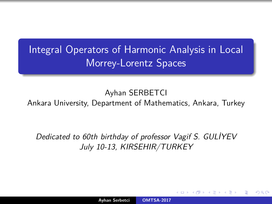Integral Operators of Harmonic Analysis in Local Morrey-Lorentz Spaces

Ayhan SERBETCI

Ankara University, Department of Mathematics, Ankara, Turkey

Dedicated to 60th birthday of professor Vagif S. GULİYEV July 10-13, KIRSEHIR/TURKEY

<span id="page-0-0"></span>∽≏ດ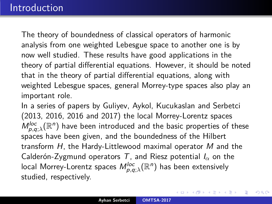The theory of boundedness of classical operators of harmonic analysis from one weighted Lebesgue space to another one is by now well studied. These results have good applications in the theory of partial differential equations. However, it should be noted that in the theory of partial differential equations, along with weighted Lebesgue spaces, general Morrey-type spaces also play an important role.

In a series of papers by Guliyev, Aykol, Kucukaslan and Serbetci (2013, 2016, 2016 and 2017) the local Morrey-Lorentz spaces  $M_{p,q;\lambda}^{loc}({\mathbb R}^n)$  have been introduced and the basic properties of these spaces have been given, and the boundedness of the Hilbert transform H, the Hardy-Littlewood maximal operator M and the Calderón-Zygmund operators T, and Riesz potential I*<sup>α</sup>* on the local Morrey-Lorentz spaces  $M_{\rho,q;\lambda}^{loc}(\mathbb{R}^{n})$  has been extensively studied, respectively.

つくい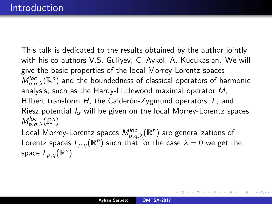This talk is dedicated to the results obtained by the author jointly with his co-authors V.S. Guliyev, C. Aykol, A. Kucukaslan. We will give the basic properties of the local Morrey-Lorentz spaces  $M_{p,q;\lambda}^{loc}({\mathbb R}^n)$  and the boundedness of classical operators of harmonic analysis, such as the Hardy-Littlewood maximal operator M, Hilbert transform H, the Calderón-Zygmund operators  $T$ , and Riesz potential I*<sup>α</sup>* will be given on the local Morrey-Lorentz spaces  $M_{p,q;\lambda}^{loc}(\mathbb{R}^n)$ . Local Morrey-Lorentz spaces  $M_{\rho,q;\lambda}^{loc}(\mathbb{R}^{n})$  are generalizations of Lorentz spaces  $L_{p,q}(\mathbb{R}^n)$  such that for the case  $\lambda = 0$  we get the space  $L_{p,q}(\mathbb{R}^n)$ .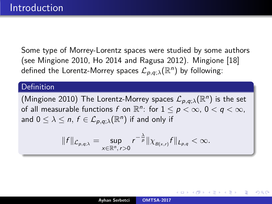Some type of Morrey-Lorentz spaces were studied by some authors (see Mingione 2010, Ho 2014 and Ragusa 2012). Mingione [\[18\]](#page-80-0) defined the Lorentz-Morrey spaces  $\mathcal{L}_{\rho,q;\lambda}(\mathbb{R}^n)$  by following:

### Definition

(Mingione 2010) The Lorentz-Morrey spaces  $\mathcal{L}_{p,q;\lambda}(\mathbb{R}^n)$  is the set of all measurable functions  $f$  on  $\mathbb{R}^n$ : for  $1 \leq p < \infty$ ,  $0 < q < \infty$ , and  $0 \leq \lambda \leq n, \, f \in \mathcal{L}_{\rho,q;\lambda}(\mathbb{R}^n)$  if and only if

$$
||f||_{\mathcal{L}_{p,q;\lambda}}=\sup_{x\in\mathbb{R}^n,\,r>0}r^{-\frac{\lambda}{p}}||\chi_{B(x,r)}f||_{L_{p,q}}<\infty.
$$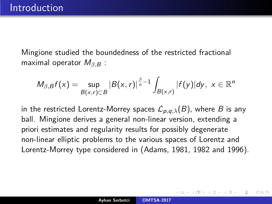Mingione studied the boundedness of the restricted fractional maximal operator  $M<sub>β, B</sub>$  :

$$
M_{\beta,B}f(x)=\sup_{B(x,r)\subset B}|B(x,r)|^{\frac{\beta}{n}-1}\int_{B(x,r)}|f(y)|dy,\,\,x\in\mathbb{R}^n
$$

in the restricted Lorentz-Morrey spaces  $\mathcal{L}_{p,q;\lambda}(B)$ , where B is any ball. Mingione derives a general non-linear version, extending a priori estimates and regularity results for possibly degenerate non-linear elliptic problems to the various spaces of Lorentz and Lorentz-Morrey type considered in (Adams, 1981, 1982 and 1996).

∽≏ດ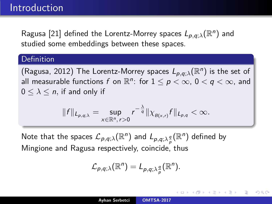Ragusa [\[21\]](#page-80-1) defined the Lorentz-Morrey spaces  $L_{p,q;\lambda}(\mathbb{R}^n)$  and studied some embeddings between these spaces.

## Definition

(Ragusa, 2012) The Lorentz-Morrey spaces  $L_{p,q;\lambda}(\mathbb{R}^n)$  is the set of all measurable functions  $f$  on  $\mathbb{R}^n$ : for  $1 \leq p < \infty$ ,  $0 < q < \infty$ , and  $0 \leq \lambda \leq n$ , if and only if

$$
||f||_{L_{p,q;\lambda}}=\sup_{x\in\mathbb{R}^n,\,r>0}r^{-\frac{\lambda}{q}}||\chi_{B(x,r)}f||_{L_{p,q}}<\infty.
$$

Note that the spaces  $\mathcal{L}_{\rho,q;\lambda}(\mathbb{R}^n)$  and  $L_{\rho,q;\lambda\frac{q}{\rho}}(\mathbb{R}^n)$  defined by Mingione and Ragusa respectively, coincide, thus

$$
\mathcal{L}_{p,q;\lambda}(\mathbb{R}^n)=L_{p,q;\lambda\frac{q}{p}}(\mathbb{R}^n).
$$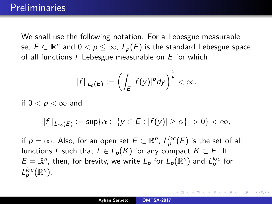## **Preliminaries**

We shall use the following notation. For a Lebesgue measurable set  $E \subset \mathbb{R}^n$  and  $0 < p \leq \infty$ ,  $L_p(E)$  is the standard Lebesgue space of all functions  $f$  Lebesgue measurable on  $E$  for which

$$
||f||_{L_p(E)} := \left(\int_E |f(y)|^p dy\right)^{\frac{1}{p}} < \infty,
$$

if  $0 < p < \infty$  and

$$
||f||_{L_{\infty}(E)}:=\sup\{\alpha:|\{y\in E:|f(y)|\geq\alpha\}|>0\}<\infty,
$$

if  $p=\infty.$  Also, for an open set  $E\subset \mathbb{R}^n$ ,  $L_p^{loc}(E)$  is the set of all functions f such that  $f \in L_p(K)$  for any compact  $K \subset E$ . If  $E=\mathbb{R}^n$ , then, for brevity, we write  $L_p$  for  $L_p(\mathbb{R}^n)$  and  $L_p^{\text{loc}}$  for  $L_p^{loc}(\mathbb{R}^n)$ .

∽≏ດ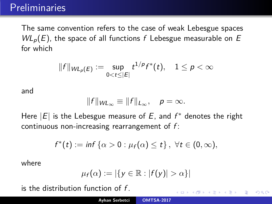The same convention refers to the case of weak Lebesgue spaces  $W L_p(E)$ , the space of all functions f Lebesgue measurable on E for which

$$
||f||_{W L_p(E)} := \sup_{0 < t \leq |E|} t^{1/p} f^*(t), \quad 1 \leq p < \infty
$$

and

$$
||f||_{W_{L_{\infty}}} \equiv ||f||_{L_{\infty}}, \quad p = \infty.
$$

Here  $|E|$  is the Lebesgue measure of  $E$ , and  $f^*$  denotes the right continuous non-increasing rearrangement of  $f$ :

$$
f^*(t) := \inf \left\{ \alpha > 0 : \mu_f(\alpha) \leq t \right\}, \ \forall t \in (0, \infty),
$$

where

$$
\mu_f(\alpha):=|\{y\in\mathbb{R}:|f(y)|>\alpha\}|
$$

 $2Q$ 

is the distribution function of  $f$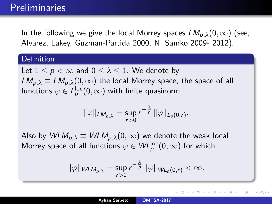In the following we give the local Morrey spaces  $LM_{p,\lambda}(0,\infty)$  (see, Alvarez, Lakey, Guzman-Partida 2000, N. Samko 2009- 2012).

## Definition

Let  $1 \leq p \leq \infty$  and  $0 \leq \lambda \leq 1$ . We denote by  $LM_{p,\lambda} \equiv LM_{p,\lambda}(0,\infty)$  the local Morrey space, the space of all functions  $\varphi \in L^{\text{loc}}_{\boldsymbol{p}}(0,\infty)$  with finite quasinorm

$$
\|\varphi\|_{LM_{p,\lambda}}=\sup_{r>0}r^{-\frac{\lambda}{p}}\|\varphi\|_{L_p(0,r)}.
$$

Also by  $WLM_{p,\lambda} \equiv WLM_{p,\lambda}(0,\infty)$  we denote the weak local Morrey space of all functions  $\varphi \in \mathsf{WL}^{\mathrm{loc}}_p(0,\infty)$  for which

$$
\|\varphi\|_{WLM_{p,\lambda}}=\sup_{r>0}r^{-\frac{\lambda}{p}}\|\varphi\|_{WL_p(0,r)}<\infty.
$$

∽≏ດ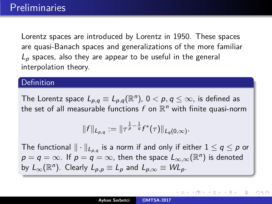Lorentz spaces are introduced by Lorentz in 1950. These spaces are quasi-Banach spaces and generalizations of the more familiar  $L_p$  spaces, also they are appear to be useful in the general interpolation theory.

## Definition

The Lorentz space  $L_{\rho,q} \equiv L_{\rho,q}(\mathbb{R}^n)$ ,  $0 < \rho,q \leq \infty$ , is defined as the set of all measurable functions  $f$  on  $\mathbb{R}^n$  with finite quasi-norm

$$
||f||_{L_{p,q}} := ||\tau^{\frac{1}{p}-\frac{1}{q}}f^*(\tau)||_{L_q(0,\infty)}.
$$

The functional  $\|\cdot\|_{L_{\rho,q}}$  is a norm if and only if either  $1\leq q\leq p$  or  $p=q=\infty$ . If  $p=q=\infty$ , then the space  $L_{\infty,\infty}(\mathbb R^n)$  is denoted by  $L_{\infty}(\mathbb{R}^n)$ . Clearly  $L_{p,p} \equiv L_p$  and  $L_{p,\infty} \equiv W L_p$ .

**K ロ ⊁ K 倒 ≯ K 目** 

つくい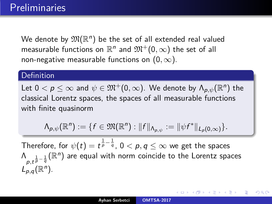We denote by  $\mathfrak{M}(\mathbb{R}^n)$  be the set of all extended real valued measurable functions on  $\mathbb{R}^n$  and  $\mathfrak{M}^+(0,\infty)$  the set of all non-negative measurable functions on  $(0, \infty)$ .

## **Definition**

Let  $0 < \rho \leq \infty$  and  $\psi \in \mathfrak{M}^+{(0,\infty)}.$  We denote by  $\Lambda_{\rho,\psi}(\mathbb{R}^n)$  the classical Lorentz spaces, the spaces of all measurable functions with finite quasinorm

$$
\Lambda_{p,\psi}(\mathbb{R}^n):=\{f\in\mathfrak{M}(\mathbb{R}^n):\|f\|_{\Lambda_{p,\psi}}:=\|\psi f^*\|_{L_p(0,\infty)}\}.
$$

Therefore, for  $\psi(t)=t^{\frac{1}{p}-\frac{1}{q}}$ ,  $0<\rho,q\leq\infty$  we get the spaces  $\bigwedge_{p,t^{\frac{1}{p}-\frac{1}{q}}}(\mathbb R^n)$  are equal with norm coincide to the Lorentz spaces  $L_{p,q}^{r,r}(\mathbb{R}^n)$ .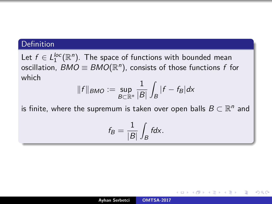## Definition

Let  $f \in L_1^{loc}(\mathbb{R}^n)$ . The space of functions with bounded mean oscillation,  $BMO \equiv BMO(\mathbb{R}^n)$ , consists of those functions  $f$  for which

$$
||f||_{BMO} := \sup_{B \subset \mathbb{R}^n} \frac{1}{|B|} \int_B |f - f_B| dx
$$

is finite, where the supremum is taken over open balls  $B\subset \mathbb{R}^n$  and

$$
f_B = \frac{1}{|B|} \int_B f dx.
$$

∽≏ດ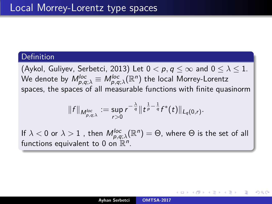## **Definition**

(Aykol, Guliyev, Serbetci, 2013) Let  $0 < p, q \leq \infty$  and  $0 \leq \lambda \leq 1$ . We denote by  $\mathcal{M}_{p,q;\lambda}^{loc} \equiv \mathcal{M}_{p,q;\lambda}^{loc}(\mathbb{R}^{n})$  the local Morrey-Lorentz spaces, the spaces of all measurable functions with finite quasinorm

$$
||f||_{M_{p,q,\lambda}^{loc}} := \sup_{r>0} r^{-\frac{\lambda}{q}} ||t^{\frac{1}{p}-\frac{1}{q}}f^*(t)||_{L_q(0,r)}.
$$

If  $\lambda < 0$  or  $\lambda > 1$  , then  $M_{\rho,q;\lambda}^{loc}(\mathbb{R}^n) = \Theta$ , where  $\Theta$  is the set of all functions equivalent to 0 on  $\mathbb{R}^n$ .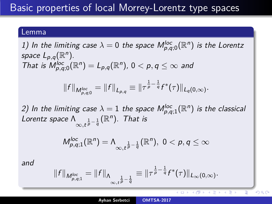### Lemma

1) In the limiting case  $\lambda = 0$  the space  $M_{p,q;0}^{loc}(\mathbb{R}^n)$  is the Lorentz space  $L_{p,q}(\mathbb{R}^n)$ . That is  $M_{p,q;0}^{loc}(\mathbb{R}^n) = L_{p,q}(\mathbb{R}^n)$ ,  $0 < p, q \leq \infty$  and  $||f||_{M_{p,q;0}^{loc}} = ||f||_{L_{p,q}} \equiv ||\tau^{\frac{1}{p}-\frac{1}{q}}f^{*}(\tau)||_{L_{q}(0,\infty)}.$ 2) In the limiting case  $\lambda = 1$  the space  $\mathsf{M}_{p,q;1}^{\mathsf{loc}}(\mathbb{R}^n)$  is the classical Lorentz space  $\Lambda_{\infty,t^{\frac{1}{p}-\frac{1}{q}}}(\mathbb{R}^n)$ . That is

$$
M_{p,q;1}^{loc}(\mathbb{R}^n)=\Lambda_{\infty,\frac{1}{p}-\frac{1}{q}}(\mathbb{R}^n),\,\,0
$$

and

$$
||f||_{M_{p,q;1}^{loc}} = ||f||_{\Lambda_{\infty,\frac{1}{t}p-\frac{1}{q}}} \equiv ||\tau^{\frac{1}{p}-\frac{1}{q}}f^*(\tau)||_{L_{\infty}(0,\infty)}.
$$

4 FB 3 4

 $290$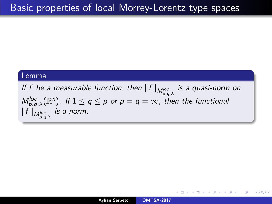#### Lemma

If f be a measurable function, then  $\|f\|_{M^{loc}_{\rho,q;\lambda}}$  is a quasi-norm on  $M_{p,q;\lambda}^{\mathsf{loc}}(\mathbb R^n)$ . If  $1 \leq q \leq p$  or  $p = q = \infty$ , then the functional  $\|f\|_{M^{loc}_{p,q;\lambda}}$  is a norm.

K ロ ▶ K 御 ▶ K 결 ▶ K 결 ▶ │ 결

 $\Omega$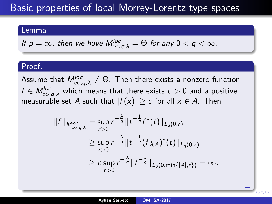#### Lemma

If 
$$
p = \infty
$$
, then we have  $M_{\infty,q;\lambda}^{loc} = \Theta$  for any  $0 < q < \infty$ .

### Proof.

Assume that  $M^{loc}_{\infty,q;\lambda}\neq \Theta.$  Then there exists a nonzero function  $f \in \mathcal{M}^{loc}_{\infty,q;\lambda}$  which means that there exists  $c > 0$  and a positive measurable set A such that  $|f(x)| \ge c$  for all  $x \in A$ . Then

$$
||f||_{M_{\infty,q;\lambda}^{loc}} = \sup_{r>0} r^{-\frac{\lambda}{q}} ||t^{-\frac{1}{q}} f^*(t)||_{L_q(0,r)}
$$
  
\n
$$
\geq \sup_{r>0} r^{-\frac{\lambda}{q}} ||t^{-\frac{1}{q}} (f\chi_A)^*(t)||_{L_q(0,r)}
$$
  
\n
$$
\geq c \sup_{r>0} r^{-\frac{\lambda}{q}} ||t^{-\frac{1}{q}}||_{L_q(0,\min\{|A|,r\})} = \infty.
$$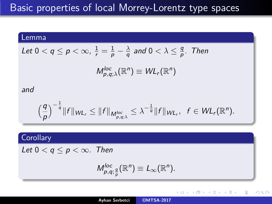### Lemma

Let 
$$
0 < q \le p < \infty
$$
,  $\frac{1}{r} = \frac{1}{p} - \frac{\lambda}{q}$  and  $0 < \lambda \le \frac{q}{p}$ . Then

$$
M_{p,q;\lambda}^{loc}(\mathbb{R}^n)\equiv WL_r(\mathbb{R}^n)
$$

#### and

$$
\left(\frac{q}{p}\right)^{-\frac{1}{q}}\|f\|_{\mathcal{W}\mathcal{L}_r}\leq\|f\|_{\mathcal{M}_{p,q,\lambda}^{loc}}\leq\lambda^{-\frac{1}{q}}\|f\|_{\mathcal{W}\mathcal{L}_r},\ \ f\in\mathcal{W}\mathcal{L}_r(\mathbb{R}^n).
$$

## **Corollary**

Let  $0 < q \leq p < \infty$ . Then

$$
M_{p,q;\frac{q}{p}}^{loc}(\mathbb{R}^n) \equiv L_{\infty}(\mathbb{R}^n).
$$

**K ロ ▶ K 御 ▶ K 目** 

重

격대

 $2Q$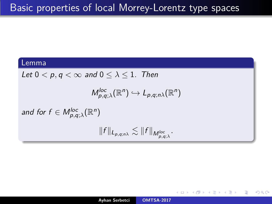## Lemma

Let  $0 < p, q < \infty$  and  $0 \leq \lambda \leq 1$ . Then

$$
M_{p,q;\lambda}^{loc}(\mathbb{R}^n)\hookrightarrow L_{p,q;n\lambda}(\mathbb{R}^n)
$$

and for  $f \in M_{p,q;\lambda}^{loc}(\mathbb{R}^n)$ 

$$
||f||_{L_{p,q;n\lambda}} \lesssim ||f||_{M_{p,q;\lambda}^{loc}}.
$$

**K ロ ▶ K 御 ▶ K 舌** 

重

∢ ≣ ⊁ ∴

 $QQ$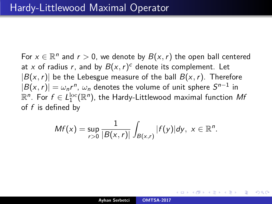For  $x \in \mathbb{R}^n$  and  $r > 0$ , we denote by  $B(x, r)$  the open ball centered at x of radius r, and by  $B(x, r)^c$  denote its complement. Let  $|B(x, r)|$  be the Lebesgue measure of the ball  $B(x, r)$ . Therefore  $|B(x,r)|=\omega_n r^n,\, \omega_n$  denotes the volume of unit sphere  $S^{n-1}$  in  $\mathbb{R}^n$ . For  $f\in L_1^{\rm loc}(\mathbb{R}^n)$ , the Hardy-Littlewood maximal function  $M$ f of  $f$  is defined by

$$
Mf(x)=\sup_{r>0}\frac{1}{|B(x,r)|}\int_{B(x,r)}|f(y)|dy, x\in\mathbb{R}^n.
$$

∽≏ດ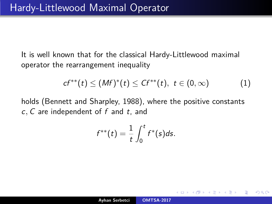It is well known that for the classical Hardy-Littlewood maximal operator the rearrangement inequality

<span id="page-19-0"></span>
$$
cf^{**}(t) \leq (Mf)^{*}(t) \leq Cf^{**}(t), \ t \in (0,\infty) \qquad (1)
$$

へのへ

holds (Bennett and Sharpley, 1988), where the positive constants c*,* C are independent of f and t, and

$$
f^{**}(t)=\frac{1}{t}\int_0^t f^*(s)ds.
$$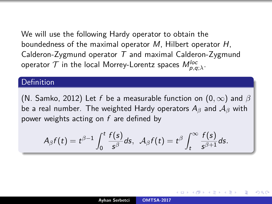We will use the following Hardy operator to obtain the boundedness of the maximal operator M, Hilbert operator H, Calderon-Zygmund operator  $T$  and maximal Calderon-Zygmund operator  ${\cal T}$  in the local Morrey-Lorentz spaces  $M_{\rho,q;\lambda}^{loc}.$ 

## **Definition**

(N. Samko, 2012) Let f be a measurable function on (0*,* ∞) and *β* be a real number. The weighted Hardy operators A*<sup>β</sup>* and A*<sup>β</sup>* with power weights acting on  $f$  are defined by

$$
A_{\beta}f(t)=t^{\beta-1}\int_0^t\frac{f(s)}{s^{\beta}}ds,\ \ \mathcal{A}_{\beta}f(t)=t^{\beta}\int_t^{\infty}\frac{f(s)}{s^{\beta+1}}ds.
$$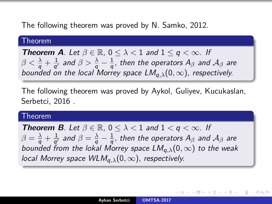The following theorem was proved by N. Samko, 2012.

#### Theorem

**Theorem A**. Let  $\beta \in \mathbb{R}$ ,  $0 \leq \lambda \leq 1$  and  $1 \leq q \leq \infty$ . If  $\beta < \frac{\lambda}{q} + \frac{1}{q'}$  $\frac{1}{q'}$  and  $\beta > \frac{\lambda}{q} - \frac{1}{q}$  $\frac{1}{q},$  then the operators  $A_{\beta}$  and  ${\cal A}_{\beta}$  are bounded on the local Morrey space  $LM_{a,\lambda}(0,\infty)$ , respectively.

The following theorem was proved by Aykol, Guliyev, Kucukaslan, Serbetci, 2016 .

#### Theorem

**Theorem B**. Let  $\beta \in \mathbb{R}$ ,  $0 \leq \lambda \leq 1$  and  $1 \leq q \leq \infty$ . If  $\beta = \frac{\lambda}{q} + \frac{1}{q'}$  $\frac{1}{q'}$  and  $\beta=\frac{\lambda}{q}-\frac{1}{q}$  $\frac{1}{q},$  then the operators  $A_{\beta}$  and  ${\cal A}_{\beta}$  are bounded from the lokal Morrey space  $LM_{a,\lambda}(0,\infty)$  to the weak local Morrey space WLMq*,λ*(0*,* ∞)*,* respectively.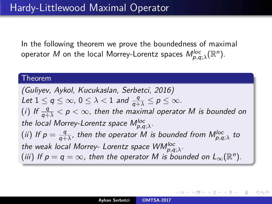In the following theorem we prove the boundedness of maximal operator  $M$  on the local Morrey-Lorentz spaces  $M_{\rho,q;\lambda}^{loc}(\mathbb{R}^{n}).$ 

### Theorem

(Guliyev, Aykol, Kucukaslan, Serbetci, 2016) Let  $1 \le q \le \infty$ ,  $0 \le \lambda < 1$  and  $\frac{q}{q+\lambda} \le p \le \infty$ . (i) If  $\frac{q}{q+\lambda} < p < \infty$ , then the maximal operator M is bounded on the local Morrey-Lorentz space  $M_{p,q;\lambda}^{loc}$ . (ii) If  $p = \frac{q}{q+q}$  $\frac{q}{q+\lambda}$ , then the operator M is bounded from  $M_{\rho,q;\lambda}^{loc}$  to the weak local Morrey- Lorentz space WM<sup>loc</sup>, <sub>p,q;</sub><sub>λ</sub>. (iii) If  $p = q = \infty$ , then the operator M is bounded on  $L_{\infty}(\mathbb{R}^n)$ .

<span id="page-22-0"></span>つくい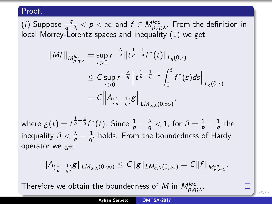$(i)$  Suppose  $\frac{q}{q+\lambda} < p < \infty$  and  $f \in M_{\rho,q;\lambda}^{loc}.$  From the definition in local Morrey-Lorentz spaces and inequality [\(1\)](#page-19-0) we get

$$
\|Mf\|_{M_{p,q;\lambda}^{loc}} = \sup_{r>0} r^{-\frac{\lambda}{q}} \|t^{\frac{1}{p}-\frac{1}{q}} f^*(t)\|_{L_q(0,r)}
$$
  
\n
$$
\leq C \sup_{r>0} r^{-\frac{\lambda}{q}} \|t^{\frac{1}{p}-\frac{1}{q}-1} \int_0^t f^*(s) ds \|_{L_q(0,r)}
$$
  
\n
$$
= C \Big\| A_{(\frac{1}{p}-\frac{1}{q})} g \Big\|_{L M_{q,\lambda}(0,\infty)},
$$

where  $g(t)=t^{\frac{1}{p}-\frac{1}{q}}f^*(t).$  Since  $\frac{1}{p}-\frac{\lambda}{q}< 1.$  for  $\beta=\frac{1}{p}-\frac{1}{q}$  $\frac{1}{q}$  the inequality  $\beta < \frac{\lambda}{q} + \frac{1}{q'}$  $\frac{1}{q'}$  holds. From the boundedness of Hardy operator we get

<span id="page-23-0"></span>
$$
\|A_{(\frac{1}{p}-\frac{1}{q})}g\|_{LM_{q,\lambda}(0,\infty)} \leq C\|g\|_{LM_{q,\lambda}(0,\infty)} = C\|f\|_{M_{p,q;\lambda}^{loc}}.
$$

Therefore we obtai[n](#page-22-0) the boundedness of  $M$  in  $M_{\rho,q;\lambda}^{loc}.$  $M_{\rho,q;\lambda}^{loc}.$  $M_{\rho,q;\lambda}^{loc}.$  $M_{\rho,q;\lambda}^{loc}.$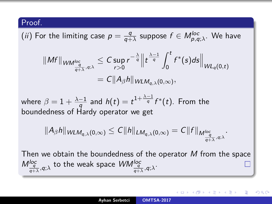(*ii*) For the limiting case 
$$
p = \frac{q}{q+\lambda}
$$
 suppose  $f \in M_{p,q;\lambda}^{loc}$ . We have

$$
\|Mf\|_{WM_{\frac{q}{q+\lambda},q;\lambda}^{\log}} \leq C \sup_{r>0} r^{-\frac{\lambda}{q}} \Big\| t^{\frac{\lambda-1}{q}} \int_0^t f^*(s) ds \Big\|_{WL_q(0,t)}
$$
  
=  $C \|A_\beta h\|_{WLM_{q,\lambda}(0,\infty)},$ 

where  $\beta = 1 + \frac{\lambda - 1}{a}$  $\frac{-1}{q}$  and  $h(t)=t^{1+\frac{\lambda-1}{q}}f^*(t).$  From the boundedness of Hardy operator we get

$$
||A_{\beta}h||_{WLM_{q,\lambda}(0,\infty)} \leq C||h||_{LM_{q,\lambda}(0,\infty)} = C||f||_{M_{\frac{q}{q+\lambda},q;\lambda}^{\log}}.
$$

Then we obtain the boundedness of the operator  $M$  from the space  $M_{\frac{q}{q+\lambda},q;\lambda}^{loc}$  to the weak space  $\mathit{WIM}_{\frac{q}{q+\lambda},q;\lambda}^{loc}.$ 

<span id="page-24-0"></span>∽≏ດ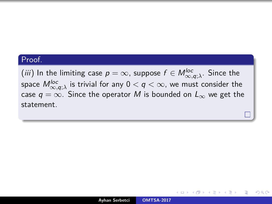$(iii)$  In the limiting case  $p=\infty$ , suppose  $f\in M^{loc}_{\infty,q;\lambda}$ . Since the space  $M_{\infty, q; \lambda}^{loc}$  is trivial for any  $0 < q < \infty$ , we must consider the case  $q = \infty$ . Since the operator M is bounded on  $L_{\infty}$  we get the statement.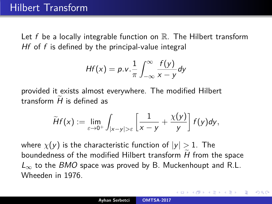Let f be a locally integrable function on  $\mathbb{R}$ . The Hilbert transform Hf of f is defined by the principal-value integral

$$
Hf(x) = p.v.\frac{1}{\pi}\int_{-\infty}^{\infty}\frac{f(y)}{x-y}dy
$$

provided it exists almost everywhere. The modified Hilbert transform  $H$  is defined as

$$
\widetilde{H}f(x) := \lim_{\varepsilon \to 0^+} \int_{|x-y| > \varepsilon} \left[ \frac{1}{x-y} + \frac{\chi(y)}{y} \right] f(y) dy,
$$

where  $\chi(y)$  is the characteristic function of  $|y| > 1$ . The boundedness of the modified Hilbert transform  $H$  from the space  $L_{\infty}$  to the BMO space was proved by B. Muckenhoupt and R.L. Wheeden in 1976.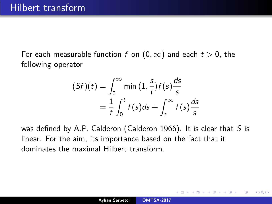For each measurable function f on  $(0, \infty)$  and each  $t > 0$ , the following operator

$$
(Sf)(t) = \int_0^\infty \min\left(1, \frac{s}{t}\right) f(s) \frac{ds}{s}
$$

$$
= \frac{1}{t} \int_0^t f(s) ds + \int_t^\infty f(s) \frac{ds}{s}
$$

was defined by A.P. Calderon (Calderon 1966). It is clear that  $S$  is linear. For the aim, its importance based on the fact that it dominates the maximal Hilbert transform.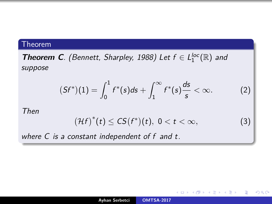## Theorem

**Theorem C**. (Bennett, Sharpley, 1988) Let  $f \in L_1^{loc}(\mathbb{R})$  and suppose

<span id="page-28-0"></span>
$$
(Sf^*)(1) = \int_0^1 f^*(s)ds + \int_1^\infty f^*(s)\frac{ds}{s} < \infty.
$$
 (2)

Then

$$
\left(\mathcal{H}f\right)^*(t) \leq C S(f^*)(t), \ 0 < t < \infty, \tag{3}
$$

**K ロ ▶ K 御 ▶ K 目** 

重

唐 トー

 $QQ$ 

where C is a constant independent of f and t.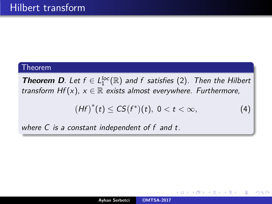### Theorem

**Theorem D**. Let  $f \in L_1^{loc}(\mathbb{R})$  and f satisfies [\(2\)](#page-28-0). Then the Hilbert transform  $Hf(x)$ ,  $x \in \mathbb{R}$  exists almost everywhere. Furthermore,

<span id="page-29-0"></span>
$$
\left(Hf\right)^{*}(t) \leq CS(f^{*})(t), \ 0 < t < \infty,
$$
 (4)

へのへ

where C is a constant independent of f and t.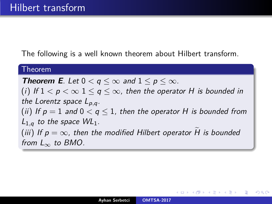The following is a well known theorem about Hilbert transform.

#### Theorem

**Theorem E**. Let  $0 < q \leq \infty$  and  $1 \leq p \leq \infty$ . (i) If  $1 < p < \infty$   $1 \le q \le \infty$ , then the operator H is bounded in the Lorentz space Lp*,*q. (ii) If  $p = 1$  and  $0 < q \le 1$ , then the operator H is bounded from  $L_{1,q}$  to the space  $WL_1$ . (iii) If  $p = \infty$ , then the modified Hilbert operator H is bounded from  $L_{\infty}$  to BMO.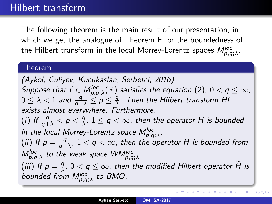The following theorem is the main result of our presentation, in which we get the analogue of Theorem E for the boundedness of the Hilbert transform in the local Morrey-Lorentz spaces  $M_{\rho,q;\lambda}^{loc}.$ 

#### Theorem

(Aykol, Guliyev, Kucukaslan, Serbetci, 2016)  $Suppose$  that  $f \in M_{\rho,q;\lambda}^{loc}(\mathbb{R})$  satisfies the equation  $(2)$ ,  $0 < q \leq \infty$ ,  $0 \leq \lambda < 1$  and  $\frac{q}{q+\lambda} \leq p \leq \frac{q}{\lambda}$  $\frac{q}{\lambda}$ . Then the Hilbert transform Hf exists almost everywhere. Furthermore, (*i*) If  $\frac{q}{q+\lambda} < p < \frac{q}{\lambda}$  $\frac{q}{\lambda}$ ,  $1 \leq q < \infty$ , then the operator H is bounded in the local Morrey-Lorentz space  $M_{p,q;\lambda}^{loc}$ . (ii) If  $p = \frac{q}{q+q}$  $\frac{q}{q+\lambda}$ ,  $1 < q < \infty$ , then the operator H is bounded from  $M_{p,q;\lambda}^{loc}$  to the weak space  $WM_{p,q;\lambda}^{loc}$ . (iii) If  $p = \frac{q}{\lambda}$ ,  $0 < q \le \infty$ , then the modified Hilbert operator  $\widetilde{H}$  is bounded from  $M_{p,q;\lambda}^{\text{loc}}$  to BMO.

K ロ ⊁ K 倒 ≯ K ミ ⊁ K ミ ≯

重

 $2Q$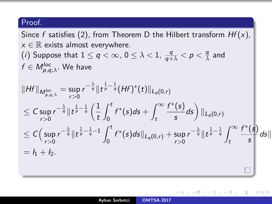Since f satisfies [\(2\)](#page-28-0), from Theorem D the Hilbert transform  $Hf(x)$ ,  $x \in \mathbb{R}$  exists almost everywhere.  $(i)$  Suppose that  $1 \leq q < \infty$ ,  $0 \leq \lambda < 1$ ,  $\frac{q}{q+\lambda} < p < \frac{q}{\lambda}$  $\frac{q}{\lambda}$  and  $f \in M_{\rho,q;\lambda}^{loc}.$  We have  $\|Hf\|_{M^{loc}_{p,q,\lambda}}=\sup_{r>0}$ r*>*0  $\|r^{-\frac{\lambda}{q}}\|t^{\frac{1}{p}-\frac{1}{q}}(Hf)^*(t)\|_{L_q(0,r)}$  $\leq \mathcal{C}$  sup r*>*0  $r^{-\frac{\lambda}{q}} \| t^{\frac{1}{p} - \frac{1}{q}} \left( \frac{1}{t} \right)$ t  $\int_0^t$ 0  $f^*(s)ds + \int_{-\infty}^{\infty}$ t  $f^*(s)$  $\left(\frac{(s)}{s}ds\right)\|_{L_q(0,r)}$  $\leq$   $\mathsf{C} \big($  sup r*>*0  $r^{-\frac{\lambda}{q}} \| t^{\frac{1}{p} - \frac{1}{q} - 1} \int_0^t$ 0  $f^*(s)ds\|_{L_q(0,r)} + \sup_{r>0}$  $r^{-\frac{\lambda}{q}}\|t^{\frac{1}{p}-\frac{1}{q}}\int^{\infty}$ t  $f^*(\mathsf{s})$  $\frac{1}{s}$  ds ||  $= h + h$ .

つくい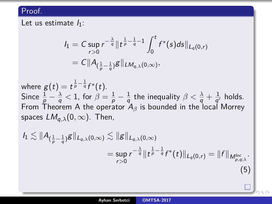Let us estimate  $I_1$ :

$$
I_1 = C \sup_{r>0} r^{-\frac{\lambda}{q}} \| t^{\frac{1}{p}-\frac{1}{q}-1} \int_0^t f^*(s) ds \|_{L_q(0,r)}
$$
  
=  $C \|A_{(\frac{1}{p}-\frac{1}{q})} g\|_{LM_{q,\lambda}(0,\infty)},$ 

where  $g(t)=t^{\frac{1}{p}-\frac{1}{q}}f^*(t).$ Since  $\frac{1}{p}-\frac{\lambda}{q}< 1$ , for  $\beta=\frac{1}{p}-\frac{1}{q}$  $\frac{1}{q}$  the inequality  $\beta < \frac{\lambda}{q} + \frac{1}{q}$  $\frac{1}{q'}$  holds. From Theorem A the operator  $A_\beta$  is bounded in the local Morrey spaces  $LM_{a,\lambda}(0,\infty)$ . Then,

<span id="page-33-0"></span>
$$
I_1 \lesssim ||A_{(\frac{1}{p}-\frac{1}{q})}g||_{L_{q,\lambda}(0,\infty)} \lesssim ||g||_{L_{q,\lambda}(0,\infty)}
$$
  
=  $\sup_{r>0} r^{-\frac{\lambda}{q}} ||t^{\frac{1}{p}-\frac{1}{q}} f^*(t)||_{L_q(0,r)} = ||f||_{M_{p,q,\lambda}^{loc}}.$   
(5)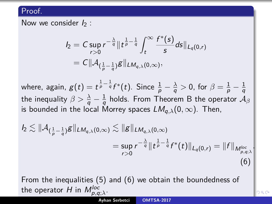Now we consider  $I_2$  :

$$
I_2 = C \sup_{r>0} r^{-\frac{\lambda}{q}} \| t^{\frac{1}{p}-\frac{1}{q}} \int_t^{\infty} \frac{f^*(s)}{s} ds \|_{L_q(0,r)}
$$
  
=  $C \| \mathcal{A}_{(\frac{1}{p}-\frac{1}{q})} g \|_{LM_{q,\lambda}(0,\infty)},$ 

where, again,  $g(t)=t^{\frac{1}{p}-\frac{1}{q}}f^*(t).$  Since  $\frac{1}{p}-\frac{\lambda}{q}>0,$  for  $\beta=\frac{1}{p}-\frac{1}{q}$ q the inequality  $\beta > \frac{\lambda}{q} - \frac{1}{q}$  $\frac{1}{q}$  holds. From Theorem B the operator  $\mathcal{A}_{\beta}$ is bounded in the local Morrey spaces  $LM_{a,\lambda}(0,\infty)$ . Then,

<span id="page-34-0"></span>
$$
I_2 \lesssim ||\mathcal{A}_{(\frac{1}{p}-\frac{1}{q})}g||_{LM_{q,\lambda}(0,\infty)} \lesssim ||g||_{LM_{q,\lambda}(0,\infty)}
$$
  
=  $\sup_{r>0} r^{-\frac{\lambda}{q}} ||t^{\frac{1}{p}-\frac{1}{q}} f^*(t)||_{L_q(0,r)} = ||f||_{M_{p,q,\lambda}^{loc}}$   
(6)

From the inequalities [\(5\)](#page-33-0) and [\(6\)](#page-34-0) we obtain the boundedness of the operator  $H$  in  $M_{\rho,q;\lambda}^{loc}$ .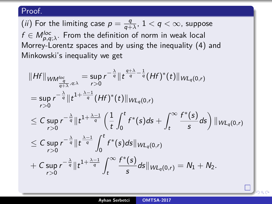(*ii*) For the limiting case  $p = \frac{q}{q+1}$  $\frac{q}{q+\lambda}$ ,  $1 < q < \infty$ , suppose  $f\in M_{\rho,q;\lambda}^{loc}.$  From the definition of norm in weak local Morrey-Lorentz spaces and by using the inequality [\(4\)](#page-29-0) and Minkowski's inequality we get

$$
||Hf||_{WM_{\frac{q}{q+\lambda},q;\lambda}} = \sup_{r>0} r^{-\frac{\lambda}{q}} ||t^{\frac{q+\lambda}{q}-\frac{1}{q}}(Hf)^{*}(t)||_{WL_{q}(0,r)}
$$
  
\n
$$
= \sup_{r>0} r^{-\frac{\lambda}{q}} ||t^{1+\frac{\lambda-1}{q}}(Hf)^{*}(t)||_{WL_{q}(0,r)}
$$
  
\n
$$
\leq C \sup_{r>0} r^{-\frac{\lambda}{q}} ||t^{1+\frac{\lambda-1}{q}} \left(\frac{1}{t} \int_{0}^{t} f^{*}(s) ds + \int_{t}^{\infty} \frac{f^{*}(s)}{s} ds\right) ||_{WL_{q}(0,r)}
$$
  
\n
$$
\leq C \sup_{r>0} r^{-\frac{\lambda}{q}} ||t^{\frac{\lambda-1}{q}} \int_{0}^{t} f^{*}(s) ds ||_{WL_{q}(0,r)}
$$
  
\n
$$
+ C \sup_{r>0} r^{-\frac{\lambda}{q}} ||t^{1+\frac{\lambda-1}{q}} \int_{t}^{\infty} \frac{f^{*}(s)}{s} ds ||_{WL_{q}(0,r)} = N_{1} + N_{2}.
$$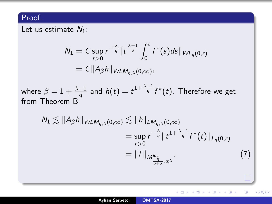Let us estimate  $N_1$ :

$$
N_1 = C \sup_{r>0} r^{-\frac{\lambda}{q}} \| t^{\frac{\lambda-1}{q}} \int_0^t f^*(s) ds \|_{WL_q(0,r)}
$$
  
=  $C \|A_\beta h\|_{WLM_{q,\lambda}(0,\infty)},$ 

where  $\beta = 1 + \frac{\lambda - 1}{a}$  $\frac{-1}{q}$  and  $h(t)=t^{1+\frac{\lambda-1}{q}}f^*(t).$  Therefore we get from Theorem B

<span id="page-36-1"></span>
$$
N_1 \lesssim ||A_{\beta}h||_{WLM_{q,\lambda}(0,\infty)} \lesssim ||h||_{LM_{q,\lambda}(0,\infty)}
$$
  
=  $\sup_{r>0} r^{-\frac{\lambda}{q}} ||t^{1+\frac{\lambda-1}{q}} f^*(t)||_{L_q(0,r)}$   
=  $||f||_{M_{\frac{q}{q+\lambda},q;\lambda}^{loc}}.$  (7)

K ロ ▶ K 御 ▶ K 君 ▶ K 君 ▶ ○ 君

<span id="page-36-0"></span> $2Q$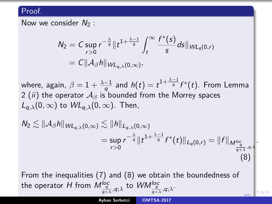Now we consider  $N_2$ :

$$
N_2 = C \sup_{r>0} r^{-\frac{\lambda}{q}} \|t^{1+\frac{\lambda-1}{q}} \int_t^{\infty} \frac{f^*(s)}{s} ds \|_{WL_q(0,r)}
$$
  
=  $C \|A_\beta h\|_{WL_{q,\lambda}(0,\infty)},$ 

where, again,  $\beta = 1 + \frac{\lambda - 1}{a}$  $\frac{-1}{q}$  and  $h(t)=t^{1+\frac{\lambda-1}{q}}f^*(t).$  From Lemma 2 (*ii*) the operator  $A_\beta$  is bounded from the Morrey spaces  $L_{\alpha\lambda}(0,\infty)$  to  $W_{\alpha\lambda}(0,\infty)$ . Then,

<span id="page-37-0"></span>
$$
N_2 \lesssim ||\mathcal{A}_{\beta}h||_{WL_{q,\lambda}(0,\infty)} \lesssim ||h||_{L_{q,\lambda}(0,\infty)}
$$
  
=  $\sup_{r>0} r^{-\frac{\lambda}{q}} ||t^{1+\frac{\lambda-1}{q}} f^*(t)||_{L_q(0,r)} = ||f||_{M_{\frac{q}{q+\lambda},q,\lambda}^{loc}}.$   
(8)

From the inequalities [\(7\)](#page-36-1) and [\(8\)](#page-37-0) we obtain the boundedness of the operator  $H$  from  $M^{loc}_{\frac{q}{q+\lambda},q;\lambda}$  to  $\mathcal{W}M^{loc}_{\frac{q}{q+\lambda},q;\lambda}.$  $\mathcal{W}M^{loc}_{\frac{q}{q+\lambda},q;\lambda}.$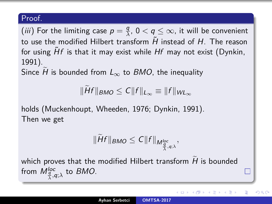(*iii*) For the limiting case  $p = \frac{q}{\lambda}$  $\frac{q}{\lambda}$ ,  $0 < q \leq \infty$ , it will be convenient to use the modified Hilbert transform  $\tilde{H}$  instead of H. The reason for using  $\tilde{H}f$  is that it may exist while  $Hf$  may not exist (Dynkin, 1991).

Since H is bounded from  $L_{\infty}$  to BMO, the inequality

 $\|\widetilde{H}f\|_{BMO} \leq C\|f\|_{L_{\infty}} \equiv \|f\|_{WL_{\infty}}$ 

holds (Muckenhoupt, Wheeden, 1976; Dynkin, 1991). Then we get

$$
\|\widetilde{H}f\|_{BMO}\leq C\|f\|_{M_{\frac{q}{\lambda},q;\lambda}^{loc}},
$$

which proves that the modified Hilbert transform  $H$  is bounded from  $M_{\frac{q}{\lambda},q;\lambda}^{loc}$  to *BMO*.

へのへ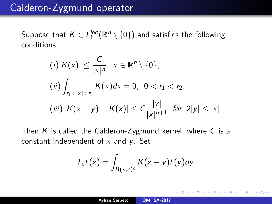Suppose that  $K\in L_1^{loc}({\mathbb R}^n\setminus\{0\})$  and satisfies the following conditions:

$$
(i)|K(x)| \leq \frac{C}{|x|^n}, x \in \mathbb{R}^n \setminus \{0\},
$$
  
\n
$$
(ii) \int_{r_1 < |x| < r_2} K(x) dx = 0, 0 < r_1 < r_2,
$$
  
\n
$$
(iii) |K(x - y) - K(x)| \leq C \frac{|y|}{|x|^{n+1}} \text{ for } 2|y| \leq |x|.
$$

Then K is called the Calderon-Zygmund kernel, where C is a constant independent of  $x$  and  $y$ . Set

$$
T_{\varepsilon}f(x)=\int_{B(x,\varepsilon)^c}K(x-y)f(y)dy.
$$

つくい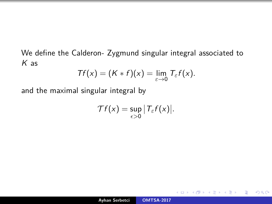We define the Calderon- Zygmund singular integral associated to  $K$  as

$$
Tf(x) = (K * f)(x) = \lim_{\varepsilon \to 0} T_{\varepsilon}f(x).
$$

and the maximal singular integral by

$$
\mathcal{T}f(x)=\sup_{\epsilon>0}|\mathcal{T}_{\epsilon}f(x)|.
$$

a mille

 $2Q$ 

€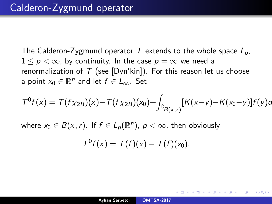The Calderon-Zygmund operator T extends to the whole space  $L_p$ ,  $1 \le p < \infty$ , by continuity. In the case  $p = \infty$  we need a renormalization of  $T$  (see [Dyn'kin]). For this reason let us choose a point  $x_0 \in \mathbb{R}^n$  and let  $f \in L_\infty$ . Set

$$
T^{0} f(x) = T(f\chi_{2B})(x) - T(f\chi_{2B})(x_{0}) + \int_{B(g(x,r)} [K(x-y) - K(x_{0}-y)]f(y)dy
$$

where  $x_0 \in B(x,r)$ . If  $f \in L_p(\mathbb{R}^n)$ ,  $p < \infty$ , then obviously

$$
T^0f(x)=T(f)(x)-T(f)(x_0).
$$

へのへ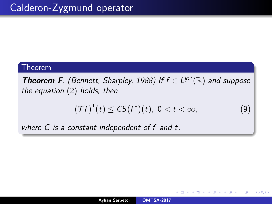### Theorem

**Theorem F**. (Bennett, Sharpley, 1988) If  $f \in L_1^{loc}(\mathbb{R})$  and suppose the equation [\(2\)](#page-28-0) holds, then

<span id="page-42-0"></span>
$$
(\mathcal{T}f)^*(t) \leq CS(f^*)(t), \ 0 < t < \infty,
$$
 (9)

€

つくい

where C is a constant independent of f and t.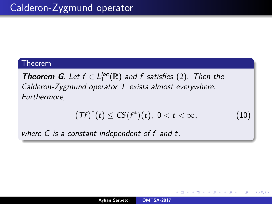## Theorem

**Theorem G**. Let  $f \in L_1^{loc}(\mathbb{R})$  and f satisfies [\(2\)](#page-28-0). Then the Calderon-Zygmund operator T exists almost everywhere. Furthermore,

<span id="page-43-0"></span>
$$
\left(\mathit{Tf}\right)^{*}(t) \leq \mathit{CS}(f^{*})(t),\ 0 < t < \infty,
$$
 (10)

∽≏ດ

where C is a constant independent of f and t.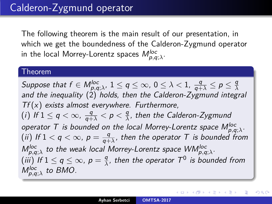The following theorem is the main result of our presentation, in which we get the boundedness of the Calderon-Zygmund operator in the local Morrey-Lorentz spaces  $\mathcal{M}_{p,q;\lambda}^{loc}$ .

### Theorem

Suppose that  $f \in M_{p,q;\lambda}^{loc},\, 1 \leq q \leq \infty, \, 0 \leq \lambda < 1, \, \frac{q}{q+\lambda} \leq p \leq \frac{q}{\lambda}$ *λ* and the inequality  $(2)$  holds, then the Calderon-Zygmund integral  $Tf(x)$  exists almost everywhere. Furthermore, (*i*) If  $1 \leq q < \infty$ ,  $\frac{q}{q+\lambda} < p < \frac{q}{\lambda}$ *λ* , then the Calderon-Zygmund operator T is bounded on the local Morrey-Lorentz space  $M_{\rho,q;\lambda}^{loc}.$ (*ii*) If  $1 < q < \infty$ ,  $p = \frac{q}{q+1}$  $\frac{q}{q+\lambda}$ , then the operator  $T$  is bounded from  $M_{p,q;\lambda}^{loc}$  to the weak local Morrey-Lorentz space  $W\!M_{p,q;\lambda}^{loc}.$ (iii) If  $1 \leq q \leq \infty$ ,  $p = \frac{q}{\lambda}$  $\frac{q}{\lambda}$ , then the operator  $T^0$  is bounded from  $M_{p,q;\lambda}^{loc}$  to BMO.

へのへ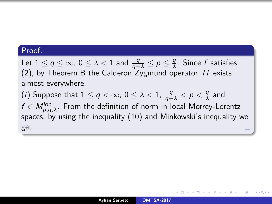Let  $1 \le q \le \infty$ ,  $0 \le \lambda < 1$  and  $\frac{q}{q+\lambda} \le p \le \frac{q}{\lambda}$ *λ* . Since f satisfies [\(2\)](#page-28-0), by Theorem B the Calderon Zygmund operator  $Tf$  exists almost everywhere.

 $(i)$  Suppose that  $1 \leq q < \infty$ ,  $0 \leq \lambda < 1$ ,  $\frac{q}{q+\lambda} < p < \frac{q}{\lambda}$  $\frac{q}{\lambda}$  and  $f\in M_{\rho,q;\lambda}^{loc}.$  From the definition of norm in local Morrey-Lorentz spaces, by using the inequality [\(10\)](#page-43-0) and Minkowski's inequality we get

∽≏ດ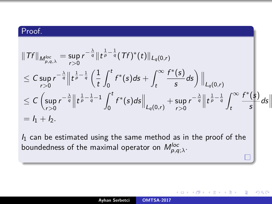$$
\|Tf\|_{M_{p,q,\lambda}^{loc}} = \sup_{r>0} r^{-\frac{\lambda}{q}} \|t^{\frac{1}{p}-\frac{1}{q}}(Tf)^{*}(t)\|_{L_{q}(0,r)}
$$
\n
$$
\leq C \sup_{r>0} r^{-\frac{\lambda}{q}} \|t^{\frac{1}{p}-\frac{1}{q}} \left( \frac{1}{t} \int_{0}^{t} f^{*}(s)ds + \int_{t}^{\infty} \frac{f^{*}(s)}{s}ds \right) \|_{L_{q}(0,r)}
$$
\n
$$
\leq C \left( \sup_{r>0} r^{-\frac{\lambda}{q}} \|t^{\frac{1}{p}-\frac{1}{q}-1} \int_{0}^{t} f^{*}(s)ds \Big\|_{L_{q}(0,r)} + \sup_{r>0} r^{-\frac{\lambda}{q}} \|t^{\frac{1}{p}-\frac{1}{q}} \int_{t}^{\infty} \frac{f^{*}(s)}{s}ds \Big\|
$$
\n
$$
= I_{1} + I_{2}.
$$

 $I_1$  can be estimated using the same method as in the proof of the boundedness of the maximal operator on  $\mathcal{M}_{\rho,q;\lambda}^{loc}$ .

4日 8

€

つくい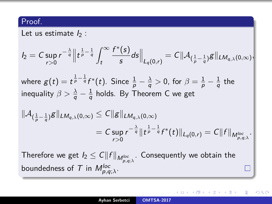Let us estimate  $I_2$  :

$$
I_2 = C \sup_{r>0} r^{-\frac{\lambda}{q}} \Big\| t^{\frac{1}{p} - \frac{1}{q}} \int_t^{\infty} \frac{f^*(s)}{s} ds \Big\|_{L_q(0,r)} = C \|\mathcal{A}_{(\frac{1}{p} - \frac{1}{q})} g\|_{LM_{q,\lambda}(0,\infty)},
$$
  
where  $g(t) = t^{\frac{1}{p} - \frac{1}{q}} f^*(t)$ . Since  $\frac{1}{p} - \frac{\lambda}{q} > 0$ , for  $\beta = \frac{1}{p} - \frac{1}{q}$  the inequality  $\beta > \frac{\lambda}{q} - \frac{1}{q}$  holds. By Theorem C we get  

$$
\|\mathcal{A}_{(\frac{1}{p} - \frac{1}{q})} g\|_{LM_{q,\lambda}(0,\infty)} \leq C \|g\|_{LM_{q,\lambda}(0,\infty)}
$$

$$
= C \sup_{r>0} r^{-\frac{\lambda}{q}} \|t^{\frac{1}{p} - \frac{1}{q}} f^*(t)\|_{L_q(0,r)} = C \|f\|_{M_{p,q,\lambda}^{loc}}.
$$

Therefore we get  $\mathit{I}_2 \leq C \|f\|_{M^{\mathit{loc}}_{\rho, q; \lambda}}.$  Consequently we obtain the boundedness of  $T$  in  $M_{\rho,q;\lambda}^{loc}$ .

 $\Box$ 

后

ミト

∢ ⊡ ≯ ∢ ∂ ≯

 $2Q$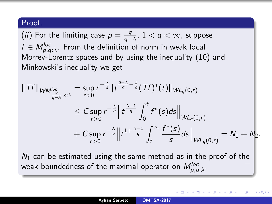(*ii*) For the limiting case  $p = \frac{q}{q+1}$  $\frac{q}{q+\lambda}$ ,  $1 < q < \infty$ , suppose  $f\in M_{\rho,q;\lambda}^{loc}.$  From the definition of norm in weak local Morrey-Lorentz spaces and by using the inequality [\(10\)](#page-43-0) and Minkowski's inequality we get

$$
||Tf||_{WM_{\frac{q}{q+\lambda},q;\lambda}^{loc}} = \sup_{r>0} r^{-\frac{\lambda}{q}} ||t^{\frac{q+\lambda}{q}-\frac{1}{q}}(Tf)^{*}(t)||_{WL_{q}(0,r)}
$$
  
\n
$$
\leq C \sup_{r>0} r^{-\frac{\lambda}{q}} ||t^{\frac{\lambda-1}{q}} \int_{0}^{t} f^{*}(s) ds ||_{WL_{q}(0,r)}
$$
  
\n
$$
+ C \sup_{r>0} r^{-\frac{\lambda}{q}} ||t^{1+\frac{\lambda-1}{q}} \int_{t}^{\infty} \frac{f^{*}(s)}{s} ds ||_{WL_{q}(0,r)} = N_{1} + N_{2}.
$$

 $N_1$  can be estimated using the same method as in the proof of the weak boundedness of the maximal operator on  $M_{\rho,q;\lambda}^{loc}.$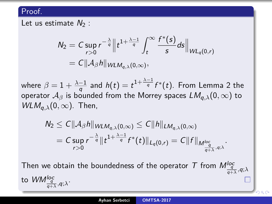Let us estimate  $N_2$  :

$$
N_2 = C \sup_{r>0} r^{-\frac{\lambda}{q}} \Big\| t^{1+\frac{\lambda-1}{q}} \int_t^{\infty} \frac{f^*(s)}{s} ds \Big\|_{WL_q(0,r)}
$$
  
=  $C \|\mathcal{A}_{\beta} h\|_{WLM_{q,\lambda}(0,\infty)},$ 

where  $\beta = 1 + \frac{\lambda - 1}{a}$  $\frac{-1}{q}$  and  $h(t)=t^{1+\frac{\lambda-1}{q}}f^*(t).$  From Lemma 2 the operator A*<sup>β</sup>* is bounded from the Morrey spaces LMq*,λ*(0*,* ∞) to  $WLM_{a,\lambda}(0,\infty)$ . Then,

$$
\begin{aligned} N_2 &\leq C\|\mathcal{A}_{\beta}h\|_{W{\mathcal{L}M_{q,\lambda}(0,\infty)}}\leq C\|h\|_{\mathcal{L}M_{q,\lambda}(0,\infty)}\\ &=C\sup_{r>0}r^{-\frac{\lambda}{q}}\|t^{1+\frac{\lambda-1}{q}}f^*(t)\|_{L_q(0,r)}=C\|f\|_{M^{\text{loc}}_{\frac{q}{q+\lambda},q;\lambda}}\end{aligned}
$$

*.*

Then we obtain the boundedness of the operator  $\mathcal T$  from  $M^{loc}_{\frac{q}{q+\lambda},q;\lambda}$ to *WM*<sup>loc</sup><sub>q+λ</sub>,<sub>q;λ</sub>.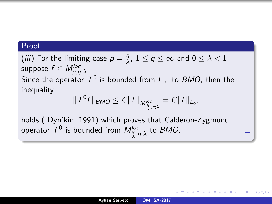(*iii*) For the limiting case  $p = \frac{q}{\lambda}$  $\frac{q}{\lambda}$ ,  $1 \leq q \leq \infty$  and  $0 \leq \lambda < 1$ ,  $\mathsf{suppose}\;f\in \mathsf{M}^{\mathsf{loc}}_{\rho,q;\lambda}.$ Since the operator  $\mathcal{T}^0$  is bounded from  $\mathcal{L}_{\infty}$  to  $BMO$ , then the inequality

$$
\|T^0f\|_{BMO}\leq C\|f\|_{M^{\text{loc}}_{\frac{q}{\lambda},q;\lambda}}=C\|f\|_{L_{\infty}}
$$

П

∽≏ດ

holds ( Dyn'kin, 1991) which proves that Calderon-Zygmund operator  $\mathcal{T}^0$  is bounded from  $M^{loc}_{\frac{q}{\lambda},q;\lambda}$  to  $BMO.$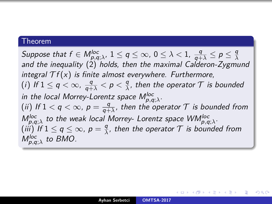### Theorem

Suppose that  $f \in M_{p,q;\lambda}^{loc},\, 1 \leq q \leq \infty,\, 0 \leq \lambda < 1,\, \frac{q}{q+\lambda} \leq p \leq \frac{q}{\lambda}$ *λ* and the inequality [\(2\)](#page-28-0) holds, then the maximal Calderon-Zygmund integral  $\mathcal{T}f(x)$  is finite almost everywhere. Furthermore, (*i*) If  $1 \leq q < \infty$ ,  $\frac{q}{q+\lambda} < p < \frac{q}{\lambda}$  $\frac{q}{\lambda}$ , then the operator  ${\cal T}$  is bounded in the local Morrey-Lorentz space  $M_{p,q;\lambda}^{loc}$ . (*ii*) If  $1 < q < \infty$ ,  $p = \frac{q}{q+1}$  $\frac{q}{q+\lambda}$ , then the operator  ${\cal T}$  is bounded from  $M_{p,q;\lambda}^{loc}$  to the weak local Morrey- Lorentz space  $WM_{p,q;\lambda}^{loc}.$  $(iii)$  If  $1 \leq q \leq \infty$ ,  $p = \frac{q}{\lambda}$  $\frac{q}{\lambda}$ , then the operator  ${\cal T}$  is bounded from  $M_{p,q;\lambda}^{loc}$  to BMO.

K ロ ▶ K 御 ▶ K 결 ▶ K 결 ▶ │ 결

つへぐ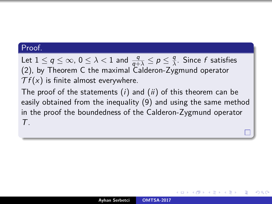Let  $1 \le q \le \infty$ ,  $0 \le \lambda < 1$  and  $\frac{q}{q+\lambda} \le p \le \frac{q}{\lambda}$ *λ* . Since f satisfies [\(2\)](#page-28-0), by Theorem C the maximal Calderon-Zygmund operator  $\mathcal{T}f(x)$  is finite almost everywhere.

The proof of the statements  $(i)$  and  $(ii)$  of this theorem can be easily obtained from the inequality [\(9\)](#page-42-0) and using the same method in the proof the boundedness of the Calderon-Zygmund operator  $\tau$ 

∽≏ດ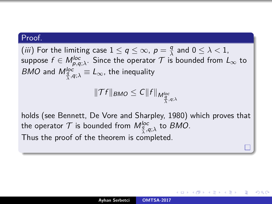(*iii*) For the limiting case  $1 \le q \le \infty$ ,  $p = \frac{q}{\lambda}$  $\frac{q}{\lambda}$  and  $0 \leq \lambda < 1$ ,  $\mathsf{suppose}\,\,f\in M^{\mathsf{loc}}_{\rho,q;\lambda}.$  Since the operator  $\mathcal T$  is bounded from  $L_\infty$  to *BMO* and  $M_{\frac{q}{\lambda},q;\lambda}^{loc} \equiv L_{\infty}$ , the inequality

$$
\|\mathcal{T}f\|_{BMO}\leq C\|f\|_{M_{\frac{q}{\lambda},q;\lambda}^{loc}}
$$

holds (see Bennett, De Vore and Sharpley, 1980) which proves that the operator  ${\cal T}$  is bounded from  $M^{loc}_{\frac{q}{\lambda},q;\lambda}$  to  $BMO.$ *λ* Thus the proof of the theorem is completed.

∽≏ເ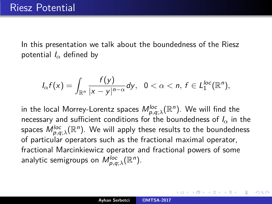In this presentation we talk about the boundedness of the Riesz potential I*<sup>α</sup>* defined by

<span id="page-54-0"></span>
$$
I_{\alpha}f(x)=\int_{\mathbb{R}^n}\frac{f(y)}{|x-y|^{n-\alpha}}dy,\ \ 0<\alpha
$$

in the local Morrey-Lorentz spaces  $\mathcal{M}_{\rho,q;\lambda}^{loc}(\mathbb{R}^{n}).$  We will find the necessary and sufficient conditions for the boundedness of  $I_{\alpha}$  in the spaces  $M_{\rho,q;\lambda}^{loc}(\mathbb{R}^{n}).$  We will apply these results to the boundedness of particular operators such as the fractional maximal operator, fractional Marcinkiewicz operator and fractional powers of some analytic semigroups on  $M_{\rho,q;\lambda}^{loc}(\mathbb{R}^n)$ .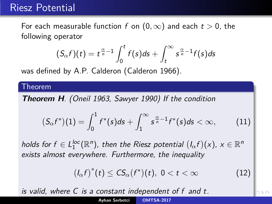# Riesz Potential

For each measurable function f on  $(0, \infty)$  and each  $t > 0$ , the following operator

$$
(S_{\alpha}f)(t)=t^{\frac{\alpha}{n}-1}\int_0^t f(s)ds+\int_t^{\infty} s^{\frac{\alpha}{n}-1}f(s)ds
$$

was defined by A.P. Calderon (Calderon 1966).

### Theorem

**Theorem H**. (Oneil 1963, Sawyer 1990) If the condition

<span id="page-55-1"></span>
$$
(S_{\alpha}f^*)(1) = \int_0^1 f^*(s)ds + \int_1^{\infty} s^{\frac{\alpha}{n}-1} f^*(s)ds < \infty,
$$
 (11)

holds for  $f \in L_1^{loc}(\mathbb{R}^n)$ , then the Riesz potential  $(l_\alpha f)(x)$ ,  $x \in \mathbb{R}^n$ exists almost everywhere. Furthermore, the inequality

<span id="page-55-2"></span><span id="page-55-0"></span>
$$
\left(I_{\alpha}f\right)^{*}(t) \leq C S_{\alpha}(f^{*})(t), \ 0 < t < \infty \tag{12}
$$

is valid, where C is a constant independent [of](#page-54-0) f [a](#page-56-0)[n](#page-54-0)[d](#page-55-0) [t](#page-56-0)[.](#page-0-0)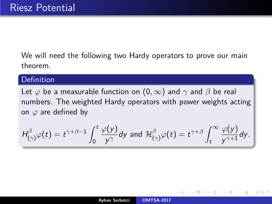We will need the following two Hardy operators to prove our main theorem.

## Definition

Let  $\varphi$  be a measurable function on  $(0,\infty)$  and  $\gamma$  and  $\beta$  be real numbers. The weighted Hardy operators with power weights acting on *ϕ* are defined by

$$
H^{\beta}_{(\gamma)}\varphi(t)=t^{\gamma+\beta-1}\int_0^t\frac{\varphi(y)}{y^{\gamma}}dy \text{ and } \mathcal{H}^{\beta}_{(\gamma)}\varphi(t)=t^{\gamma+\beta}\int_t^{\infty}\frac{\varphi(y)}{y^{\gamma+1}}dy.
$$

<span id="page-56-0"></span>へのへ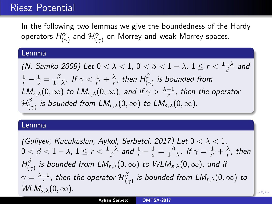# Riesz Potential

In the following two lemmas we give the boundedness of the Hardy operators  $H_{(\gamma)}^\alpha$  and  $\mathcal{H}_{(\gamma)}^\alpha$  on Morrey and weak Morrey spaces.

#### Lemma

(N. Samko 2009) Let  $0 < \lambda < 1$ ,  $0 < \beta < 1 - \lambda$ ,  $1 \le r < \frac{1-\lambda}{\beta}$  $\frac{-\lambda}{\beta}$  and  $\frac{1}{r} - \frac{1}{s} = \frac{\beta}{1 - \beta}$  $\frac{\beta}{1-\lambda}$ . If  $\gamma < \frac{1}{r'} + \frac{\lambda}{r}$  $\frac{\lambda}{r}$ , then  $H_{(\gamma)}^\beta$  is bounded from  $LM_{r,\lambda}(0,\infty)$  to  $LM_{s,\lambda}(0,\infty)$ , and if  $\gamma > \frac{\lambda-1}{r}$ , then the operator  $\mathcal{H}^\beta_\ell$  $_{(\gamma)}^\rho$  is bounded from  $LM_{r,\lambda}(0,\infty)$  to  $LM_{s,\lambda}(0,\infty).$ 

#### Lemma

(Guliyev, Kucukaslan, Aykol, Serbetci, 2017) Let 0 *< λ <* 1,  $0 < \beta < 1-\lambda$ ,  $1 \leq r < \frac{1-\lambda}{\beta}$  $\frac{-\lambda}{\beta}$  and  $\frac{1}{r} - \frac{1}{s} = \frac{\beta}{1 - \beta}$  $\frac{\beta}{1-\lambda}$ . If  $\gamma = \frac{1}{r'}$  $\frac{1}{r'} + \frac{\lambda}{r}$  $\frac{\lambda}{r}$ , then  $H_{\text{L}}^{\beta}$  $_{(\gamma)}^\beta$  is bounded from  $LM_{r,\lambda}(0,\infty)$  to  $WLM_{s,\lambda}(0,\infty)$ , and if  $\gamma = \frac{\lambda - 1}{r}$  $\frac{-1}{r}$ , then the operator  $\mathcal{H}_{(r)}^{\beta}$ (*γ*) is bounded from LMr*,λ*(0*,* ∞) to  $WLM_{s,\lambda}(0,\infty)$ .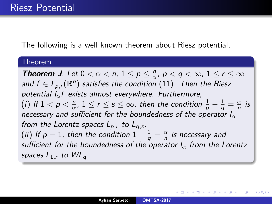The following is a well known theorem about Riesz potential.

### Theorem

**Theorem J.** Let  $0 < \alpha < n$ ,  $1 \le p \le \frac{n}{\alpha}$  $\frac{n}{\alpha}$ ,  $p < q < \infty$ ,  $1 \le r \le \infty$ and  $f \in L_{p,r}(\mathbb{R}^n)$  satisfies the condition  $(11)$ . Then the Riesz potential I*α*f exists almost everywhere. Furthermore, (*i*) If  $1 < p < \frac{n}{\alpha}$  $\frac{n}{\alpha}$ ,  $1\leq r\leq s\leq\infty$ , then the condition  $\frac{1}{p}-\frac{1}{q}=\frac{\alpha}{n}$  $\frac{\alpha}{n}$  is necessary and sufficient for the boundedness of the operator I*<sup>α</sup>* from the Lorentz spaces Lp*,*<sup>r</sup> to Lq*,*<sup>s</sup> . (*ii*) If  $p=1$ , then the condition  $1-\frac{1}{q}=\frac{\alpha}{n}$  $\frac{\alpha}{n}$  is necessary and sufficient for the boundedness of the operator I*<sup>α</sup>* from the Lorentz spaces  $L_{1,r}$  to  $WL_q$ .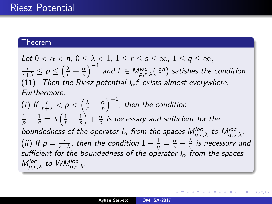### Theorem

Let  $0 < \alpha < n$ ,  $0 \le \lambda < 1$ ,  $1 \le r \le s \le \infty$ ,  $1 \le a \le \infty$ .  $\frac{r}{r+\lambda} \leq p \leq \left(\frac{\lambda}{r} + \frac{\alpha}{n}\right)$  $\left(\frac{\alpha}{n}\right)^{-1}$  and  $f\in M_{\rho,r;\lambda}^{loc}(\mathbb{R}^{n})$  satisfies the condition [\(11\)](#page-55-1). Then the Riesz potential I*α*f exists almost everywhere. Furthermore,

(*i*) If  $\frac{r}{r+\lambda} < p < \left(\frac{\lambda}{r} + \frac{\alpha}{n}\right)$  $\left(\frac{\alpha}{n}\right)^{-1}$ , then the condition  $\frac{1}{p} - \frac{1}{q} = \lambda \left( \frac{1}{r} - \frac{1}{s} \right)$  $\frac{1}{s}$  +  $\frac{\alpha}{n}$  $\frac{\alpha}{n}$  is necessary and sufficient for the boundedness of the operator  $I_\alpha$  from the spaces  $M_{p,r;\lambda}^{loc}$  to  $M_{q,s;\lambda}^{loc}.$ (*ii*) If  $p = \frac{r}{r+1}$  $\frac{r}{r+\lambda}$ , then the condition  $1-\frac{1}{q}=\frac{\alpha}{n}-\frac{\lambda}{s}$  $\frac{\lambda}{s}$  is necessary and sufficient for the boundedness of the operator I*<sup>α</sup>* from the spaces  $M_{p,r;\lambda}^{loc}$  to  $WM_{q,s;\lambda}^{loc}$ .

(□ ) (@ ) ( E )

つくい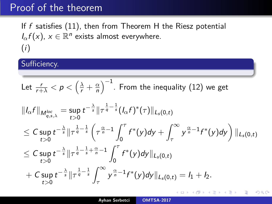If  $f$  satisfies [\(11\)](#page-55-1), then from Theorem H the Riesz potential  $I_{\alpha}f(x)$ ,  $x \in \mathbb{R}^n$  exists almost everywhere. (i)

## Sufficiency.

Let 
$$
\frac{r}{r+\lambda} < p < \left(\frac{\lambda}{r} + \frac{\alpha}{n}\right)^{-1}
$$
. From the inequality (12) we get

$$
\|I_{\alpha}f\|_{M_{q,s,\lambda}^{loc}} = \sup_{t>0} t^{-\frac{\lambda}{s}} \|\tau^{\frac{1}{q}-\frac{1}{s}}(I_{\alpha}f)^{*}(\tau)\|_{L_{s}(0,t)}
$$
\n
$$
\leq C \sup_{t>0} t^{-\frac{\lambda}{s}} \|\tau^{\frac{1}{q}-\frac{1}{s}}\left(\tau^{\frac{\alpha}{n}-1}\int_{0}^{\tau} f^{*}(y)dy + \int_{\tau}^{\infty} y^{\frac{\alpha}{n}-1}f^{*}(y)dy\right)\|_{L_{s}(0,t)}
$$
\n
$$
\leq C \sup_{t>0} t^{-\frac{\lambda}{s}} \|\tau^{\frac{1}{q}-\frac{1}{s}+\frac{\alpha}{n}-1}\int_{0}^{\tau} f^{*}(y)dy\|_{L_{s}(0,t)}
$$
\n
$$
+ C \sup_{t>0} t^{-\frac{\lambda}{s}} \|\tau^{\frac{1}{q}-\frac{1}{s}}\int_{\tau}^{\infty} y^{\frac{\alpha}{n}-1}f^{*}(y)dy\|_{L_{s}(0,t)} = I_{1} + I_{2}.
$$

**K ロ ▶ K 御 ▶ K 目** 

重

K 로 베

 $2Q$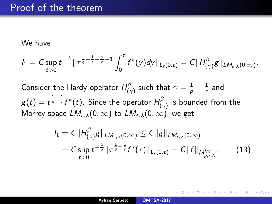We have

$$
I_1 = C \sup_{t>0} t^{-\frac{\lambda}{s}} \|\tau^{\frac{1}{q}-\frac{1}{s}+\frac{\alpha}{n}-1} \int_0^{\tau} f^*(y) dy\|_{L_s(0,t)} = C \|H^{\beta}_{(\gamma)} g\|_{LM_{s,\lambda}(0,\infty)}.
$$

Consider the Hardy operator  $H^{\beta}_{(a)}$  $\frac{1}{(\gamma)}$  such that  $\gamma=\frac{1}{p}-\frac{1}{r}$  $\frac{1}{r}$  and  $g(t)=t^{\frac{1}{p}-\frac{1}{r}}f^*(t).$  Since the operator  $H^{\beta}_{t}$  $\binom{p}{\gamma}$  is bounded from the Morrey space  $LM_{r,\lambda}(0,\infty)$  to  $LM_{s,\lambda}(0,\infty)$ , we get

<span id="page-61-0"></span>
$$
I_1 = C||H_{(\gamma)}^{\beta}g||_{LM_{s,\lambda}(0,\infty)} \leq C||g||_{LM_{r,\lambda}(0,\infty)}
$$
  
=  $C \sup_{t>0} t^{-\frac{\lambda}{r}}||\tau^{\frac{1}{p}-\frac{1}{r}}f^*(\tau)||_{L_r(0,t)} = C||f||_{M_{\rho,r;\lambda}^{loc}}.$  (13)

へのへ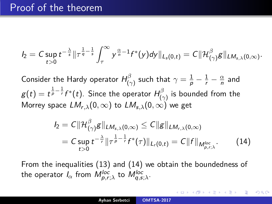$$
I_2=C\sup_{t>0}t^{-\frac{\lambda}{s}}\|\tau^{\frac{1}{q}-\frac{1}{s}}\int_{\tau}^{\infty}y^{\frac{\alpha}{n}-1}f^*(y)dy\|_{L_s(0,t)}=C\|\mathcal{H}^{\beta}_{(\gamma)}g\|_{LM_{s,\lambda}(0,\infty)}.
$$

Consider the Hardy operator  $H^{\beta}_{(a)}$  $\frac{1}{(\gamma)}$  such that  $\gamma=\frac{1}{p}-\frac{1}{r}-\frac{\alpha}{n}$  $\frac{\alpha}{n}$  and  $g(t)=t^{\frac{1}{p}-\frac{1}{r}}f^*(t).$  Since the operator  $H^{\beta}_{t}$  $\boldsymbol{\mathsf{p}}_{(\gamma)}^{\mathsf{p}}$  is bounded from the Morrey space  $LM_{r,\lambda}(0,\infty)$  to  $LM_{s,\lambda}(0,\infty)$  we get

<span id="page-62-0"></span>
$$
I_2 = C \|\mathcal{H}^{\beta}_{(\gamma)}g\|_{LM_{s,\lambda}(0,\infty)} \leq C \|g\|_{LM_{r,\lambda}(0,\infty)}
$$
  
=  $C \sup_{t>0} t^{-\frac{\lambda}{r}} \|\tau^{\frac{1}{p}-\frac{1}{r}}f^*(\tau)\|_{L_r(0,t)} = C \|f\|_{M^{loc}_{p,r;\lambda}}.$  (14)

へのへ

From the inequalities [\(13\)](#page-61-0) and [\(14\)](#page-62-0) we obtain the boundedness of the operator  $I_\alpha$  from  $M_{p,r;\lambda}^{loc}$  to  $M_{q,s;\lambda}^{loc}.$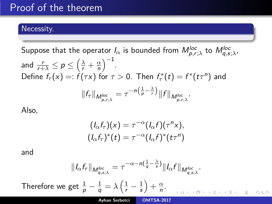# Necessity.

 $\epsilon$  Suppose that the operator  $I_\alpha$  is bounded from  $M_{\bm{\rho},\bm{r};\lambda}^{loc}$  to  $M_{\bm{q},\bm{s};\lambda}^{loc}$ 

and 
$$
\frac{r}{r+\lambda} \le p \le \left(\frac{\lambda}{r} + \frac{\alpha}{n}\right)^{-1}
$$
.  
Define  $f_{\tau}(x) =: f(\tau x)$  for  $\tau > 0$ . Then  $f_{\tau}^*(t) = f^*(t\tau^n)$  and  

$$
||f_{\tau}||_{M_{p,r;\lambda}^{loc}} = \tau^{-n\left(\frac{1}{p} - \frac{\lambda}{r}\right)} ||f||_{M_{p,r;\lambda}^{loc}}.
$$

Also,

$$
(I_{\alpha}f_{\tau})(x) = \tau^{-\alpha}(I_{\alpha}f)(\tau^{n}x),
$$

$$
(I_{\alpha}f_{\tau})^{*}(t) = \tau^{-\alpha}(I_{\alpha}f)^{*}(t\tau^{n})
$$

and

$$
||I_{\alpha}f_{\tau}||_{M_{q,s;\lambda}^{loc}} = \tau^{-\alpha - n\left(\frac{1}{q} - \frac{\lambda}{s}\right)} ||I_{\alpha}f||_{M_{q,s;\lambda}^{loc}}.
$$
  
Therefore we get  $\frac{1}{p} - \frac{1}{q} = \lambda \left(\frac{1}{r} - \frac{1}{s}\right) + \frac{\alpha}{n}.$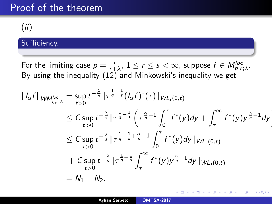(ii)

# Sufficiency.

For the limiting case  $p = \frac{r}{r+1}$  $\frac{r}{r+\lambda}$ ,  $1 \leq r \leq s < \infty$ , suppose  $f \in M_{\rho,r;\lambda}^{loc}$ . By using the inequality [\(12\)](#page-55-2) and Minkowski's inequality we get

$$
||I_{\alpha}f||_{WM_{q,s;\lambda}^{loc}} = \sup_{t>0} t^{-\frac{\lambda}{s}} ||\tau^{\frac{1}{q}-\frac{1}{s}}(I_{\alpha}f)^{*}(\tau)||_{WL_{s}(0,t)}
$$
  
\n
$$
\leq C \sup_{t>0} t^{-\frac{\lambda}{s}} ||\tau^{\frac{1}{q}-\frac{1}{s}}\left(\tau^{\frac{\alpha}{n}-1}\int_{0}^{\tau} f^{*}(y)dy + \int_{\tau}^{\infty} f^{*}(y)y^{\frac{\alpha}{n}-1}dy\right)
$$
  
\n
$$
\leq C \sup_{t>0} t^{-\frac{\lambda}{s}} ||\tau^{\frac{1}{q}-\frac{1}{s}+\frac{\alpha}{n}-1}\int_{0}^{\tau} f^{*}(y)dy||_{WL_{s}(0,t)}
$$
  
\n
$$
+ C \sup_{t>0} t^{-\frac{\lambda}{s}} ||\tau^{\frac{1}{q}-\frac{1}{s}}\int_{\tau}^{\infty} f^{*}(y)y^{\frac{\alpha}{n}-1}dy||_{WL_{s}(0,t)}
$$
  
\n
$$
= N_{1} + N_{2}.
$$

重

∢ ロ ▶ . ∢ @ ▶ . ∢ ミ

 $2Q$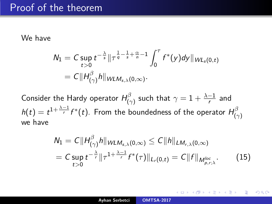### We have

$$
N_1 = C \sup_{t>0} t^{-\frac{\lambda}{s}} \|\tau^{\frac{1}{q} - \frac{1}{s} + \frac{\alpha}{n} - 1} \int_0^{\tau} f^*(y) dy\|_{WL_s(0,t)}
$$
  
=  $C \|H_{(\gamma)}^{\beta} h\|_{WLM_{s,\lambda}(0,\infty)}$ .

Consider the Hardy operator  $H^{\beta}_{(a)}$  $\frac{1}{\gamma(\gamma)}$  such that  $\gamma=1+\frac{\lambda-1}{r}$  $\frac{-1}{r}$  and  $h(t)=t^{1+\frac{\lambda-1}{r}}f^*(t).$  From the boundedness of the operator  $H^{\beta}_C$ (*γ*) we have

<span id="page-65-0"></span>
$$
N_1 = C||H^{\beta}_{(\gamma)}h||_{WLM_{s,\lambda}(0,\infty)} \leq C||h||_{LM_{r,\lambda}(0,\infty)}
$$
  
=  $C \sup_{t>0} t^{-\frac{\lambda}{r}}||\tau^{1+\frac{\lambda-1}{r}}f^*(\tau)||_{L_r(0,t)} = C||f||_{M^{loc}_{p,r;\lambda}}.$  (15)

つくい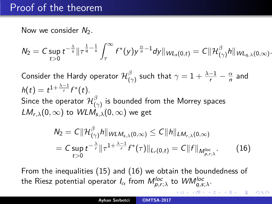Now we consider  $N_2$ .

$$
N_2 = C \sup_{t>0} t^{-\frac{\lambda}{s}} \|\tau^{\frac{1}{q}-\frac{1}{s}} \int_{\tau}^{\infty} f^*(y) y^{\frac{\alpha}{n}-1} dy\|_{WL_s(0,t)} = C \|\mathcal{H}^{\beta}_{(\gamma)} h\|_{WL_{q,\lambda}(0,\infty)}.
$$

Consider the Hardy operator  $\mathcal{H}_{\ell}^{\beta}$  $\frac{\beta}{\left(\gamma\right)}$  such that  $\gamma=1+\frac{\lambda-1}{r}-\frac{\alpha}{n}$  $\frac{\alpha}{n}$  and  $h(t) = t^{1 + \frac{\lambda - 1}{r}} f^{*}(t).$ Since the operator  $\mathcal{H}^\beta_{\ell,\ell}$  $\begin{array}{l} \rho \ (\gamma) \end{array}$  is bounded from the Morrey spaces  $LM_{r,\lambda}(0,\infty)$  to  $WLM_{s,\lambda}(0,\infty)$  we get

<span id="page-66-0"></span>
$$
N_2 = C \|\mathcal{H}^{\beta}_{(\gamma)}h\|_{WLM_{s,\lambda}(0,\infty)} \leq C \|h\|_{LM_{r,\lambda}(0,\infty)}
$$
  
=  $C \sup_{t>0} t^{-\frac{\lambda}{r}} \|\tau^{1+\frac{\lambda-1}{r}} f^*(\tau)\|_{L_r(0,t)} = C \|f\|_{M^{loc}_{\rho,r;\lambda}}$ . (16)

へのへ

From the inequalities [\(15\)](#page-65-0) and [\(16\)](#page-66-0) we obtain the boundedness of the Riesz potential operator  $I_\alpha$  from  $M_{\bm{\rho},r;\lambda}^{loc}$  to  $\mathit{WM}_{\bm{q},s;\lambda}^{loc}.$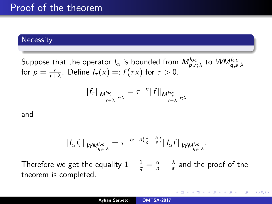## Necessity.

 ${\sf Suppose}$  that the operator  $I_\alpha$  is bounded from  $M_{\rho,r;\lambda}^{loc}$  to  $WM_{q,s;\lambda}^{loc}$ for  $p = \frac{r}{r+1}$  $\frac{r}{r+\lambda}$ . Define  $f_\tau(x) =: f(\tau x)$  for  $\tau > 0$ .

$$
||f_{\tau}||_{M^{loc}_{\frac{r}{r+\lambda},r;\lambda}}=\tau^{-n}||f||_{M^{loc}_{\frac{r}{r+\lambda},r;\lambda}}
$$

and

$$
||I_{\alpha}f_{\tau}||_{WM_{q,s;\lambda}^{loc}} = \tau^{-\alpha - n(\frac{1}{q} - \frac{\lambda}{s})}||I_{\alpha}f||_{WM_{q,s;\lambda}^{loc}}.
$$

Therefore we get the equality  $1-\frac{1}{q}=\frac{\alpha}{n}-\frac{\lambda}{s}$  $\frac{\lambda}{s}$  and the proof of the theorem is completed.

**K ロ ▶ K 御 ▶ K ミ ▶** 

重

 $2Q$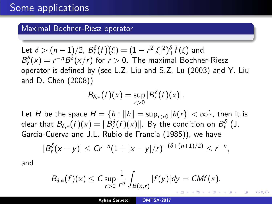## Maximal Bochner-Riesz operator

 $\mathsf{Let}\,\,\delta>(n-1)/2,\ B^\delta_r(f\hat{)}(\xi)=(1-r^2|\xi|^2)^\delta_+\hat{f}(\xi)$  and  $B_r^{\delta}(x) = r^{-n} B^{\delta}(x/r)$  for  $r > 0$ . The maximal Bochner-Riesz operator is defined by (see L.Z. Liu and S.Z. Lu (2003) and Y. Liu and D. Chen (2008))

$$
B_{\delta,*}(f)(x)=\sup_{r>0}|B_r^{\delta}(f)(x)|.
$$

Let  $H$  be the space  $H = \{h : \|h\| = \sup_{r>0}|h(r)| < \infty\}$ , then it is clear that  $B_{\delta,*}(f)(x)=\|B^\delta_r(f)(x)\|.$  By the condition on  $B^\delta_r$  (J. Garcia-Cuerva and J.L. Rubio de Francia (1985)), we have

$$
|B_r^{\delta}(x-y)| \le Cr^{-n}(1+|x-y|/r)^{-(\delta+(n+1)/2)} \le r^{-n},
$$

and

$$
B_{\delta,*}(f)(x)\leq C\sup_{r>0}\frac{1}{r^n}\int_{B(x,r)}|f(y)|dy=CMf(x).
$$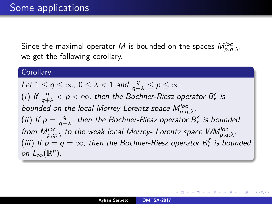Since the maximal operator  $M$  is bounded on the spaces  $M_{\rho, q; \lambda}^{loc},$ we get the following corollary.

## **Corollary**

Let  $1 \le q \le \infty$ ,  $0 \le \lambda < 1$  and  $\frac{q}{q+\lambda} \le p \le \infty$ . (i) If  $\frac{q}{q+\lambda} < p < \infty$ , then the Bochner-Riesz operator  $B_r^\delta$  is bounded on the local Morrey-Lorentz space  $M_{p,q;\lambda}^{loc}.$ (ii) If  $p = \frac{q}{q+q}$  $\frac{q}{q+\lambda}$ , then the Bochner-Riesz operator  $B^\delta_{\mathsf{r}}$  is bounded from M<sup>loc</sup>, to the weak local Morrey- Lorentz space WM<sup>loc</sup>,<sub>9,q;</sub><sub>λ</sub>. (iii) If  $p=q=\infty$ , then the Bochner-Riesz operator  $B_r^\delta$  is bounded on  $L_{\infty}(\mathbb{R}^n)$ .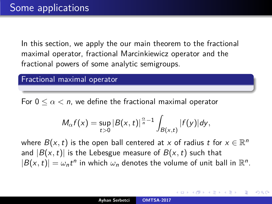In this section, we apply the our main theorem to the fractional maximal operator, fractional Marcinkiewicz operator and the fractional powers of some analytic semigroups.

## Fractional maximal operator

For  $0 \leq \alpha \leq n$ , we define the fractional maximal operator

$$
M_{\alpha}f(x)=\sup_{t>0}|B(x,t)|^{\frac{\alpha}{n}-1}\int_{B(x,t)}|f(y)|dy,
$$

where  $B(x,t)$  is the open ball centered at  $x$  of radius  $t$  for  $x\in\mathbb{R}^n$ and  $|B(x,t)|$  is the Lebesgue measure of  $B(x,t)$  such that  $|B(x, t)| = \omega_n t^n$  in which  $\omega_n$  denotes the volume of unit ball in  $\mathbb{R}^n$ .

つくい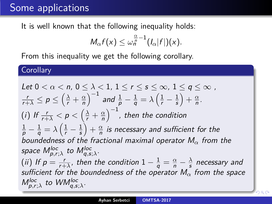# Some applications

It is well known that the following inequality holds:

$$
M_{\alpha}f(x)\leq \omega_n^{\frac{\alpha}{n}-1}(I_{\alpha}|f|)(x).
$$

From this inequality we get the following corollary.

**Corollary** 

Let 
$$
0 < \alpha < n
$$
,  $0 \leq \lambda < 1$ ,  $1 \leq r \leq s \leq \infty$ ,  $1 \leq q \leq \infty$ ,  $\frac{r}{r+\lambda} \leq p \leq \left(\frac{\lambda}{r} + \frac{\alpha}{n}\right)^{-1}$  and  $\frac{1}{p} - \frac{1}{q} = \lambda \left(\frac{1}{r} - \frac{1}{s}\right) + \frac{\alpha}{n}$ . (i) If  $\frac{r}{r+\lambda} < p < \left(\frac{\lambda}{r} + \frac{\alpha}{n}\right)^{-1}$ , then the condition  $\frac{1}{p} - \frac{1}{q} = \lambda \left(\frac{1}{r} - \frac{1}{s}\right) + \frac{\alpha}{n}$  is necessary and sufficient for the boundedness of the fractional maximal operator  $M_{\alpha}$  from the space  $M_{p,r;\lambda}^{\text{loc}}$  to  $M_{q,s;\lambda}^{\text{loc}}$ . (ii) If  $p = \frac{r}{r+\lambda}$ , then the condition  $1 - \frac{1}{q} = \frac{\alpha}{n} - \frac{\lambda}{s}$  necessary and sufficient for the boundedness of the operator  $M_{\alpha}$  from the space  $M_{p,r;\lambda}^{\text{loc}}$  to  $WM_{q,s;\lambda}^{\text{loc}}$ .

 $QQ$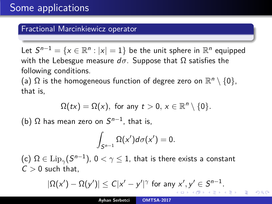#### Fractional Marcinkiewicz operator

Let  $S^{n-1}=\{x\in\mathbb{R}^n:|x|=1\}$  be the unit sphere in  $\mathbb{R}^n$  equipped with the Lebesgue measure  $d\sigma$ . Suppose that  $\Omega$  satisfies the following conditions.

(a)  $\Omega$  is the homogeneous function of degree zero on  $\mathbb{R}^n\setminus\{0\},$ that is,

$$
\Omega(tx)=\Omega(x), \text{ for any } t>0, x\in\mathbb{R}^n\setminus\{0\}.
$$

(b)  $\Omega$  has mean zero on  $S^{n-1}$ , that is,

$$
\int_{S^{n-1}}\Omega(x')d\sigma(x')=0.
$$

(c)  $\Omega \in \mathrm{Lip}_\gamma(\mathcal{S}^{n-1}),\, 0<\gamma\leq 1,$  that is there exists a constant  $C > 0$  such that,

$$
|\Omega(x') - \Omega(y')| \leq C|x'-y'|^{\gamma} \text{ for any } x', y' \in S^{n-1}.
$$

つへへ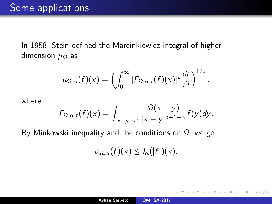In 1958, Stein defined the Marcinkiewicz integral of higher dimension *µ*<sup>Ω</sup> as

$$
\mu_{\Omega,\alpha}(f)(x)=\left(\int_0^\infty |F_{\Omega,\alpha,t}(f)(x)|^2\frac{dt}{t^3}\right)^{1/2},
$$

where

$$
F_{\Omega,\alpha,t}(f)(x)=\int_{|x-y|\leq t}\frac{\Omega(x-y)}{|x-y|^{n-1-\alpha}}f(y)dy.
$$

By Minkowski inequality and the conditions on  $Ω$ , we get

$$
\mu_{\Omega,\alpha}(f)(x)\leq I_{\alpha}(|f|)(x).
$$

 $2Q$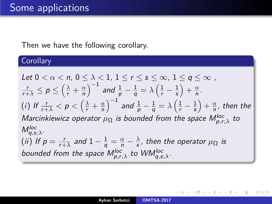## Then we have the following corollary.

# **Corollary**

Let 
$$
0 < \alpha < n
$$
,  $0 \leq \lambda < 1$ ,  $1 \leq r \leq s \leq \infty$ ,  $1 \leq q \leq \infty$ ,  
\n
$$
\frac{r}{r+\lambda} \leq p \leq \left(\frac{\lambda}{r} + \frac{\alpha}{n}\right)^{-1}
$$
\nand\n
$$
\frac{1}{p} - \frac{1}{q} = \lambda \left(\frac{1}{r} - \frac{1}{s}\right) + \frac{\alpha}{n}.
$$
\n(i) If  $\frac{r}{r+\lambda} < p < \left(\frac{\lambda}{r} + \frac{\alpha}{n}\right)^{-1}$  and\n
$$
\frac{1}{p} - \frac{1}{q} = \lambda \left(\frac{1}{r} - \frac{1}{s}\right) + \frac{\alpha}{n},
$$
\nthen the\nMarcinkiewicz operator  $\mu_{\Omega}$  is bounded from the space\n $M_{p,r;\lambda}^{loc}$ \nto\n $M_{q,s;\lambda}^{loc}.$ \n(ii) If  $p = \frac{r}{r+\lambda}$  and  $1 - \frac{1}{q} = \frac{\alpha}{n} - \frac{\lambda}{s}$ , then the operator  $\mu_{\Omega}$  is bounded from the space\n $M_{p,r;\lambda}^{loc}$ \nto\n $WM_{q,s;\lambda}^{loc}.$ 

**K ロ ▶ K 御 ▶ K 目** 

4. 동 )

后

 $299$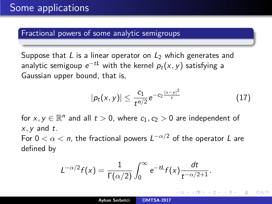#### Fractional powers of some analytic semigroups

Suppose that L is a linear operator on  $L_2$  which generates and analytic semigoup  $e^{-tL}$  with the kernel  $\rho_t({\sf x},{\sf y})$  satisfying a Gaussian upper bound, that is,

<span id="page-75-0"></span>
$$
|p_t(x,y)| \leq \frac{c_1}{t^{n/2}} e^{-c_2 \frac{|x-y|^2}{t}} \tag{17}
$$

へのへ

for  $x, y \in \mathbb{R}^n$  and all  $t > 0$ , where  $c_1, c_2 > 0$  are independent of  $x, y$  and  $t$ .

For  $0 < \alpha < n$ , the fractional powers  $L^{-\alpha/2}$  of the operator  $L$  are defined by

$$
L^{-\alpha/2}f(x)=\frac{1}{\Gamma(\alpha/2)}\int_0^\infty e^{-tL}f(x)\frac{dt}{t^{-\alpha/2+1}}.
$$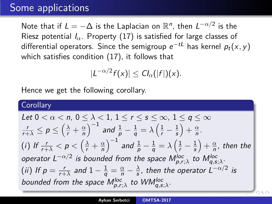# Some applications

Note that if  $L = -\Delta$  is the Laplacian on  $\mathbb{R}^n$ , then  $L^{-\alpha/2}$  is the Riesz potential  $I_{\alpha}$ . Property [\(17\)](#page-75-0) is satisfied for large classes of differential operators. Since the semigroup  $e^{-tL}$  has kernel  $p_t({\mathsf x}, y)$ which satisfies condition [\(17\)](#page-75-0), it follows that

 $|L^{-\alpha/2} f(x)| \leq C I_{\alpha}(|f|)(x).$ 

Hence we get the following corollary.

### **Corollary**

Let 
$$
0 < \alpha < n
$$
,  $0 \leq \lambda < 1$ ,  $1 \leq r \leq s \leq \infty$ ,  $1 \leq q \leq \infty$ ,  $\frac{r}{r+\lambda} \leq p \leq \left(\frac{\lambda}{r} + \frac{\alpha}{n}\right)^{-1}$  and  $\frac{1}{p} - \frac{1}{q} = \lambda \left(\frac{1}{r} - \frac{1}{s}\right) + \frac{\alpha}{n}$ . \n(i) If  $\frac{r}{r+\lambda} < p < \left(\frac{\lambda}{r} + \frac{\alpha}{n}\right)^{-1}$  and  $\frac{1}{p} - \frac{1}{q} = \lambda \left(\frac{1}{r} - \frac{1}{s}\right) + \frac{\alpha}{n}$ , then the operator  $L^{-\alpha/2}$  is bounded from the space  $M_{p,r;\lambda}^{\text{loc}}$  to  $M_{q,s;\lambda}^{\text{loc}}$ . \n(ii) If  $p = \frac{r}{r+\lambda}$  and  $1 - \frac{1}{q} = \frac{\alpha}{n} - \frac{\lambda}{s}$ , then the operator  $L^{-\alpha/2}$  is bounded from the space  $M_{p,r;\lambda}^{\text{loc}}$  to  $W M_{q,s;\lambda}^{\text{loc}}$ .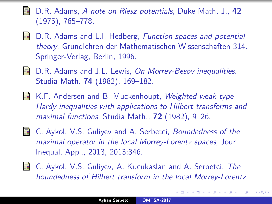- D.R. Adams, A note on Riesz potentials, Duke Math. J., **42** (1975), 765–778.
- S. D.R. Adams and L.I. Hedberg, Function spaces and potential theory, Grundlehren der Mathematischen Wissenschaften 314. Springer-Verlag, Berlin, 1996.
- **D.R. Adams and J.L. Lewis, On Morrey-Besov inequalities.** Studia Math. **74** (1982), 169–182.
- **K.F. Andersen and B. Muckenhoupt, Weighted weak type** Hardy inequalities with applications to Hilbert transforms and maximal functions, Studia Math., **72** (1982), 9–26.
- 歸
	- C. Aykol, V.S. Guliyev and A. Serbetci, Boundedness of the maximal operator in the local Morrey-Lorentz spaces, Jour. Inequal. Appl., 2013, 2013:346.
- **C. Aykol, V.S. Guliyev, A. Kucukaslan and A. Serbetci, The** boundedness of Hilbert transform in the local Morrey-Lorentz

へのへ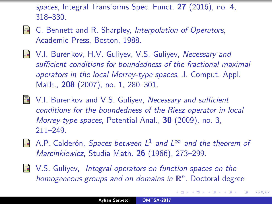spaces, Integral Transforms Spec. Funct. **27** (2016), no. 4, 318–330.

- 5 C. Bennett and R. Sharpley, Interpolation of Operators, Academic Press, Boston, 1988.
- **N.I. Burenkov, H.V. Guliyev, V.S. Guliyev, Necessary and** sufficient conditions for boundedness of the fractional maximal operators in the local Morrey-type spaces, J. Comput. Appl. Math., **208** (2007), no. 1, 280–301.
- **N.** V.I. Burenkov and V.S. Guliyev, Necessary and sufficient conditions for the boundedness of the Riesz operator in local Morrey-type spaces, Potential Anal., **30** (2009), no. 3, 211–249.
- A.P. Calderón, *Spaces between*  $L^1$  and  $L^\infty$  and the theorem of Marcinkiewicz, Studia Math. **26** (1966), 273–299.
- **N.S.** Guliyev, Integral operators on function spaces on the homogeneous groups and on domains in  $\mathbb{R}^n$ . Doctoral degree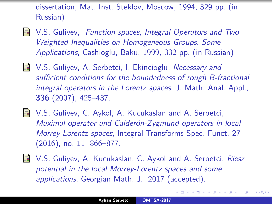dissertation, Mat. Inst. Steklov, Moscow, 1994, 329 pp. (in Russian)

- **No. 5.** Suliyev, Function spaces, Integral Operators and Two Weighted Inequalities on Homogeneous Groups. Some Applications, Cashioglu, Baku, 1999, 332 pp. (in Russian)
- **N.S. Guliyev, A. Serbetci, I. Ekincioglu, Necessary and** sufficient conditions for the boundedness of rough B-fractional integral operators in the Lorentz spaces. J. Math. Anal. Appl., **336** (2007), 425–437.
- **N.S. Guliyev, C. Aykol, A. Kucukaslan and A. Serbetci,** Maximal operator and Calderón-Zygmund operators in local Morrey-Lorentz spaces, Integral Transforms Spec. Funct. 27 (2016), no. 11, 866–877.
- **N.S. Guliyev, A. Kucukaslan, C. Aykol and A. Serbetci, Riesz** potential in the local Morrey-Lorentz spaces and some applications, Georgian Math. J., 2017 (accepted).

へのへ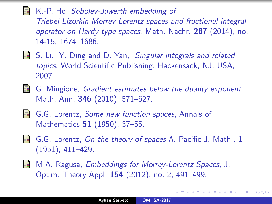K.-P. Ho, Sobolev-Jawerth embedding of 畐 Triebel-Lizorkin-Morrey-Lorentz spaces and fractional integral operator on Hardy type spaces, Math. Nachr. **287** (2014), no. 14-15, 1674–1686.

- **S. Lu, Y. Ding and D. Yan, Singular integrals and related** topics, World Scientific Publishing, Hackensack, NJ, USA, 2007.
- 歸 G. Mingione, Gradient estimates below the duality exponent. Math. Ann. **346** (2010), 571–627.
- G.G. Lorentz, Some new function spaces, Annals of Mathematics **51** (1950), 37–55.
- G.G. Lorentz, On the theory of spaces Λ. Pacific J. Math., **1** 螶 (1951), 411–429.
- M.A. Ragusa, Embeddings for Morrey-Lorentz Spaces, J. 晶 Optim. Theory Appl. **154** (2012), no. 2, 491–499.

つへぐ